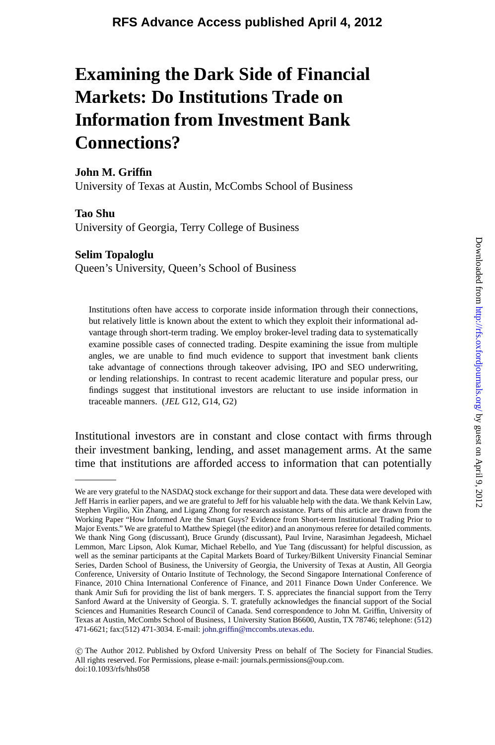**RFS Advance Access published April 4, 2012**

# **Examining the Dark Side of Financial Markets: Do Institutions Trade on Information from Investment Bank Connections?**

# **John M. Griffin**

University of Texas at Austin, McCombs School of Business

# **Tao Shu**

University of Georgia, Terry College of Business

# **Selim Topaloglu**

Queen's University, Queen's School of Business

Institutions often have access to corporate inside information through their connections, but relatively little is known about the extent to which they exploit their informational advantage through short-term trading. We employ broker-level trading data to systematically examine possible cases of connected trading. Despite examining the issue from multiple angles, we are unable to find much evidence to support that investment bank clients take advantage of connections through takeover advising, IPO and SEO underwriting, or lending relationships. In contrast to recent academic literature and popular press, our findings suggest that institutional investors are reluctant to use inside information in traceable manners. (*JEL* G12, G14, G2)

Downloaded from http://rfs.oxfordjournals.org/ by guest on April 9, 2012  $D$ ownloaded from http://rfs.oxfordjournals.org/ by guest on April 9, 2012

Institutional investors are in constant and close contact with firms through their investment banking, lending, and asset management arms. At the same time that institutions are a[fforded access to inform](mailto:john.griffin@mccombs.utexas.edu)ation that can potentially

We are very grateful to the NASDAQ stock exchange for their support and data. These data were developed with Jeff Harris in earlier papers, and we are grateful to Jeff for his valuable help with the data. We thank Kelvin Law, Stephen Virgilio, Xin Zhang, and Ligang Zhong for research assistance. Parts of this article are drawn from the Working Paper "How Informed Are the Smart Guys? Evidence from Short-term Institutional Trading Prior to Major Events." We are grateful to Matthew Spiegel (the editor) and an anonymous referee for detailed comments. We thank Ning Gong (discussant), Bruce Grundy (discussant), Paul Irvine, Narasimhan Jegadeesh, Michael Lemmon, Marc Lipson, Alok Kumar, Michael Rebello, and Yue Tang (discussant) for helpful discussion, as well as the seminar participants at the Capital Markets Board of Turkey/Bilkent University Financial Seminar Series, Darden School of Business, the University of Georgia, the University of Texas at Austin, All Georgia Conference, University of Ontario Institute of Technology, the Second Singapore International Conference of Finance, 2010 China International Conference of Finance, and 2011 Finance Down Under Conference. We thank Amir Sufi for providing the list of bank mergers. T. S. appreciates the financial support from the Terry Sanford Award at the University of Georgia. S. T. gratefully acknowledges the financial support of the Social Sciences and Humanities Research Council of Canada. Send correspondence to John M. Griffin, University of Texas at Austin, McCombs School of Business, 1 University Station B6600, Austin, TX 78746; telephone: (512) 471-6621; fax:(512) 471-3034. E-mail: john.griffin@mccombs.utexas.edu.

c The Author 2012. Published by Oxford University Press on behalf of The Society for Financial Studies. All rights reserved. For Permissions, please e-mail: journals.permissions@oup.com. doi:10.1093/rfs/hhs058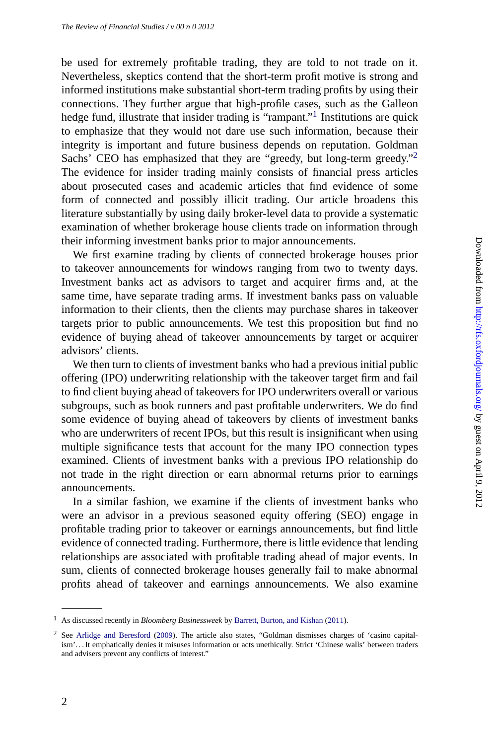be used for extremely profitable trading, they are told to not trade on it. Nevertheless, skeptics contend that the short-term profit motive is strong and informed institutions make substantial short-term trading profits by using their connections. They further argue that high-profile cases, such as the Galleon hedge fund, illustrate that insider trading is "rampant."<sup>1</sup> Institutions are quick to emphasize that they would not dare use such information, because their integrity is important and future business depends on reputation. Goldman Sachs' CEO has emphasized that they are "greedy, but long-term greedy."2 The evidence for insider trading mainly consists of financial press articles about prosecuted cases and academic articles that find evidence of some form of connected and possibly illicit trading. Our article broadens this literature substantially by using daily broker-level data to provide a systematic examination of whether brokerage house clients trade on information through their informing investment banks prior to major announcements.

We first examine trading by clients of connected brokerage houses prior to takeover announcements for windows ranging from two to twenty days. Investment banks act as advisors to target and acquirer firms and, at the same time, have separate trading arms. If investment banks pass on valuable information to their clients, then the clients may purchase shares in takeover targets prior to public announcements. We test this proposition but find no evidence of buying ahead of takeover announcements by target or acquirer advisors' clients.

We then turn to clients of investment banks who had a previous initial public offering (IPO) underwriting relationship with the takeover target firm and fail to find client buying ahead of takeovers for IPO underwriters overall or various subgroups, such as book runners and past profitable underwriters. We do find some evidence of buying ahead of takeovers by clients of investment banks who are underwriters of recent IPOs, but this result is insignificant when using multiple significance tests that account for the many IPO connection types examined. Clients of investment ban[ks](#page-31-0) [with](#page-31-0) [a](#page-31-0) [previous](#page-31-0) [IPO](#page-31-0) relationship do no[t](#page-31-0) [trade](#page-31-0) [in](#page-31-0) [the](#page-31-0) [right](#page-31-0) [d](#page-31-0)irection or earn abnormal returns prior to earnings announcements.

In a similar fashion, we examine if the clients of investment banks who were an advisor in a previous seasoned equity offering (SEO) engage in profitable trading prior to takeover or earnings announcements, but find little evidence of connected trading. Furthermore, there is little evidence that lending relationships are associated with profitable trading ahead of major events. In sum, clients of connected brokerage houses generally fail to make abnormal profits ahead of takeover and earnings announcements. We also examine

<sup>1</sup> As discussed recently in *Bloomberg Businessweek* by Barrett, Burton, and Kishan (2011).

<sup>2</sup> See Arlidge and Beresford (2009). The article also states, "Goldman dismisses charges of 'casino capitalism'. . . It emphatically denies it misuses information or acts unethically. Strict 'Chinese walls' between traders and advisers prevent any conflicts of interest."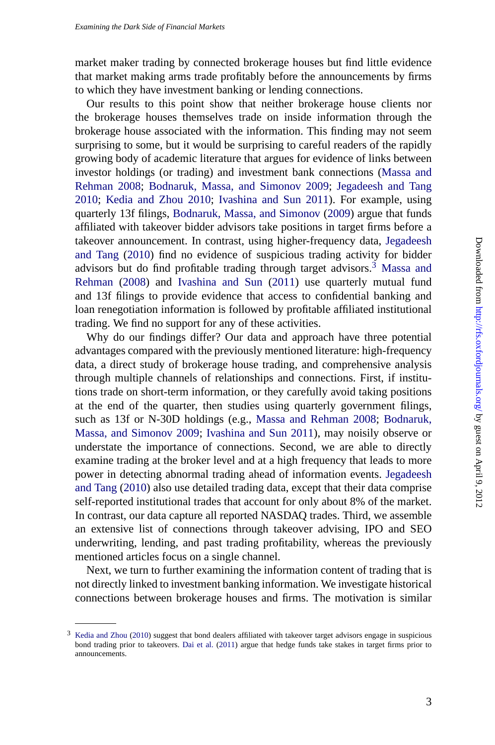market maker trading by connected brokerage houses but find little evidence that market making arms trade profitably before the announcement[s by firms](#page-32-0) [to which t](#page-32-0)h[ey ha](#page-32-0)ve investment banking or lending connections.

Our results to this point show that neither brokerage house [clients nor](#page-33-0) [the brok](#page-33-0)e[rage](#page-33-0) houses [themselves trade](#page-32-0) [on ins](#page-32-0)ide information through the brokerage house associated with the information. This finding may not seem surprising to some, but it would be surprising to careful readers of the rapidly growing body of academic literature that argues for evidence of links between investor holdings (or trading) and investment bank connections (Massa and Rehman 2008; Bodnaruk, Massa, and Simonov 2009; Jegadeesh and Tang 2010; Kedia and Zhou 2010; Ivashina and Sun 2011). For example, using quarterly 13f filings, Bodnaruk, Massa, and Simonov (2009) argue that funds affiliated with takeover bidder advisors take positions in target firms before a takeover announcement. In contrast, using higher-frequency data, Jegadeesh and Tang (2010) find no evidence of [suspicious trading activity](#page-33-0) [for bidder](#page-31-0) [advisors but do find](#page-31-0) [profit](#page-31-0)a[ble trading through targ](#page-32-0)et advisors.<sup>3</sup> Massa and Rehman (2008) and Ivashina and Sun (2011) use quarterly mutual fund and 13f filings to provide evidence that access to confidential banking and loan renegotiation information is followed by profitable affiliated i[nstitutional](#page-32-0) [trading. We find](#page-32-0) no support for any of these activities.

Why do our findings differ? Our data and approach have three potential advantages compared with the previously mentioned literature: high-frequency data, a direct study of brokerage house trading, and comprehensive analysis through multiple channels of relationships and connections. First, if institutions trade on short-term information, or they carefully avoid taking positions at the end of the quarter, then studies using quarterly government filings, such as 13f or N-30D holdings (e.g., Massa and Rehman 2008; Bodnaruk, Massa, and Simonov 2009; Ivashina and Sun 2011), may noisily observe or understate the importance of connections. Second, we are able to directly examine trading at the broker level and at a high frequency that leads to more [power](#page-33-0) [in](#page-33-0) [detecti](#page-33-0)ng abn[ormal tradin](#page-32-0)g ahead of information events. Jegadeesh and Tang (2010) also use detailed trading data, except that their data comprise self-reported institutional trades that account for only about 8% of the market. In contrast, our data capture all reported NASDAQ trades. Third, we assemble an extensive list of connections through takeover advising, IPO and SEO underwriting, lending, and past trading profitability, whereas the previously mentioned articles focus on a single channel.

Next, we turn to further examining the information content of trading that is not directly linked to investment banking information. We investigate historical connections between brokerage houses and firms. The motivation is similar

<sup>3</sup> Kedia and Zhou (2010) suggest that bond dealers affiliated with takeover target advisors engage in suspicious bond trading prior to takeovers. Dai et al. (2011) argue that hedge funds take stakes in target firms prior to announcements.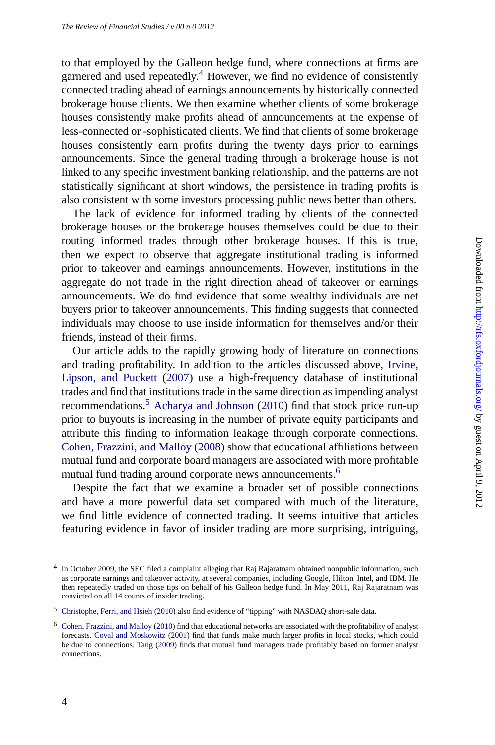to that employed by the Galleon hedge fund, where connections at firms are garnered and used repeatedly.<sup>4</sup> However, we find no evidence of consistently connected trading ahead of earnings announcements by historically connected brokerage house clients. We then examine whether clients of some brokerage houses consistently make profits ahead of announcements at the expense of less-connected or -sophisticated clients. We find that clients of some brokerage houses consistently earn profits during the twenty days prior to earnings announcements. Since the general trading through a brokerage house is not linked to any specific investment banking relationship, and the patterns are not statistically significant at short windows, the persistence in trading profits is also consistent with some investors processing public news better than [others.](#page-32-0)

[The lack of evide](#page-32-0)n[ce fo](#page-32-0)r informed trading by clients of the connected brokerage houses or the brokerage houses themselves could be due to their routing informed t[rades through other](#page-31-0) b[rokera](#page-31-0)ge houses. If this is true, then we expect to observe that aggregate institutional trading is informed prior to takeover and earnings announcements. However, institutions in the [aggregate do not trade in the righ](#page-32-0)t direction ahead of takeover or earnings announcements. We do find evidence that some wealthy individuals are net buyers prior to takeover announcements. This finding suggests that connected individuals may choose to use inside information for themselves and/or their friends, instead of their firms.

Our article adds to the rapidly growing body of literature on connections and trading profitability. In addition to the articles discussed above, Irvine, Lipson, and Puckett (2007) use a high-frequency database of institutional trades and find that institutions trade in the same direction as impending analyst recommendations.5 Acharya and Johnson (2010) find that stock price run-up prior to buyouts is increasing in the number of private equity participants and attribute this finding to information leakage through corporate connections. [Cohen, Frazzini, and Ma](#page-32-0)lloy (2008) show that educational affiliations between [mutual fund and corpora](#page-32-0)te board managers are associated with more profitable mutual [fund](#page-32-0) [trading](#page-32-0) [ar](#page-32-0)[o](#page-33-0)[und](#page-32-0) corporate news announcements.<sup>6</sup>

Despite the fact that we examine a broader set of possible connections and have a more powerful data set compared with much of the literature, we find little evidence of connected trading. It seems intuitive that articles featuring evidence in favor of insider trading are more surprising, intriguing,

<sup>4</sup> In October 2009, the SEC filed a complaint alleging that Raj Rajaratnam obtained nonpublic information, such as corporate earnings and takeover activity, at several companies, including Google, Hilton, Intel, and IBM. He then repeatedly traded on those tips on behalf of his Galleon hedge fund. In May 2011, Raj Rajaratnam was convicted on all 14 counts of insider trading.

<sup>5</sup> Christophe, Ferri, and Hsieh (2010) also find evidence of "tipping" with NASDAQ short-sale data.

<sup>6</sup> Cohen, Frazzini, and Malloy (2010) find that educational networks are associated with the profitability of analyst forecasts. Coval and Moskowitz (2001) find that funds make much larger profits in local stocks, which could be due to connections. Tang (2009) finds that mutual fund managers trade profitably based on former analyst connections.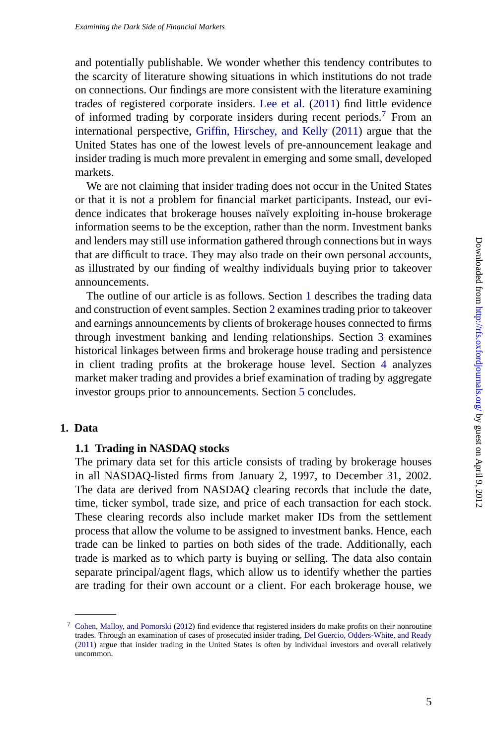and potentially publishable. We wonder whether this tendency contributes to the scarcity of literature showing situations in which institutions do not trade on connections. Our findings are more consistent with the literature examining trades of registered corporate insiders. Lee et al. (2011) find little evidence of informed trading by corporate insiders during recent periods.<sup>7</sup> From an international perspective, Griffin, Hirschey, and Kelly (2011) argue that the United States has one of the lowest level[s o](#page-8-0)f pre-announcement leakage and insider trading is much more prevalent in emerging and some small, developed markets.

We are not claiming that insider trading does not occur in the United States or that it is not a problem for financial market participants. Inste[ad](#page-24-0), our evidence indicates that brokerage houses naïvely exploiting in-house brokerage information seems to be the exception, rather tha[n](#page-30-0) the norm. Investment banks and lenders may still use information gathered through connections but in ways that are difficult to trace. They may also trade on their own personal accounts, as illustrated by our finding of wealthy individuals buying prior to takeover announcements.

The outline of our article is as follows. Section 1 describes the trading data and construction of event samples. Section 2 examines trading prior to takeover and earnings announcements by clients of brokerage houses connected to firms through investment banking and lending relationships. Section 3 examines historical linkages between firms and brokerage house trading and persistence in client trading profits at the brokerage house level. Section 4 analyzes market maker trading and provides a brief examination of trading by aggregate investor groups prior to announcements. Section 5 concludes.

# **1. Data**

# **1.1 Trading in NASDAQ stocks**

[The](#page-32-0) [primary](#page-32-0) [data](#page-32-0) [set](#page-32-0) [for](#page-32-0) this article consists of trading by brokerage houses [in al](#page-32-0)l NASDAQ-listed firms from January 2, 19[97,](#page-32-0) [to](#page-32-0) [December](#page-32-0) [31,](#page-32-0) [2002.](#page-32-0) The data are derived from NASDAQ clearing records that include the date, time, ticker symbol, trade size, and price of each transaction for each stock. These clearing records also include market maker IDs from the settlement process that allow the volume to be assigned to investment banks. Hence, each trade can be linked to parties on both sides of the trade. Additionally, each trade is marked as to which party is buying or selling. The data also contain separate principal/agent flags, which allow us to identify whether the parties are trading for their own account or a client. For each brokerage house, we

<sup>7</sup> Cohen, Malloy, and Pomorski (2012) find evidence that registered insiders do make profits on their nonroutine trades. Through an examination of cases of prosecuted insider trading, Del Guercio, Odders-White, and Ready (2011) argue that insider trading in the United States is often by individual investors and overall relatively uncommon.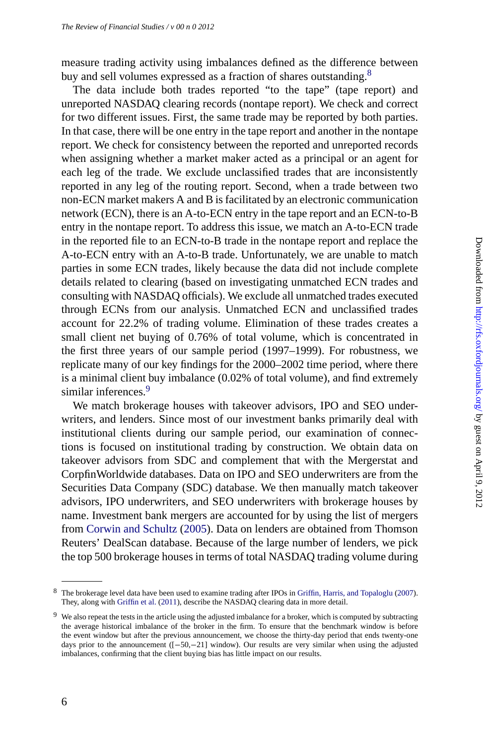measure trading activity using imbalances defined as the difference between buy and sell volumes expressed as a fraction of shares outstanding.<sup>8</sup>

The data include both trades reported "to the tape" (tape report) and unreported NASDAQ clearing records (nontape report). We check and correct for two different issues. First, the same trade may be reported by both parties. In that case, there will be one entry in the tape report and another in the nontape report. We check for consistency between the reported and unreported records when assigning whether a market maker acted as a principal or an agent for each leg of the trade. We exclude unclassified trades that are inconsistently reported in any leg of the routing report. Second, when a trade between two non-ECN market makers A and B is facilitated by an electronic communication network (ECN), there is an A-to-ECN entry in the tape report and an ECN-to-B entry in the nontape report. To address this issue, we match an A-to-ECN trade in the reported file to an ECN-to-B trade in the nontape report and replace the A-to-ECN entry with an A-to-B trade. Unfortunately, we are unable to match parties in some ECN trades, likely because the data did not include complete details related to clearing (based on investigating unmatched ECN trades and consulting with NASDAQ officials). We exclude all unmatched trades executed through ECNs from our analysis. Unmatched ECN and unclassified trades account for 22.2% of trading volume. Elimination of these trades creates a small client net buying of 0.76% of total volume, which is concentrated in the first three years of our sample period (1997–1999). For robustness, we repli[cate many of our key](#page-32-0) [findin](#page-32-0)gs for the 2000–2002 time period, where there is a minimal client buy imbalance (0.02% of total volume), and find extremely similar inferences.<sup>9</sup>

We match brokerage houses with takeover advisors, IPO and SEO underwriters, and lenders. Since most of our investment banks primarily deal with institutional [clients durin](#page-32-0)g our sample period, ou[r](#page-32-0) [examination](#page-32-0) [of](#page-32-0) [connec](#page-32-0)tions is focused on institutional trading by construction. We obtain data on takeover advisors from SDC and complement that with the Mergerstat and CorpfinWorldwide databases. Data on IPO and SEO underwriters are from the Securities Data Company (SDC) database. We then manually match takeover advisors, IPO underwriters, and SEO underwriters with brokerage houses by name. Investment bank mergers are accounted for by using the list of mergers from Corwin and Schultz (2005). Data on lenders are obtained from Thomson Reuters' DealScan database. Because of the large number of lenders, we pick the top 500 brokerage houses in terms of total NASDAQ trading volume during

<sup>8</sup> The brokerage level data have been used to examine trading after IPOs in Griffin, Harris, and Topaloglu (2007). They, along with Griffin et al. (2011), describe the NASDAQ clearing data in more detail.

<sup>&</sup>lt;sup>9</sup> We also repeat the tests in the article using the adjusted imbalance for a broker, which is computed by subtracting the average historical imbalance of the broker in the firm. To ensure that the benchmark window is before the event window but after the previous announcement, we choose the thirty-day period that ends twenty-one days prior to the announcement ([−50,−21] window). Our results are very similar when using the adjusted imbalances, confirming that the client buying bias has little impact on our results.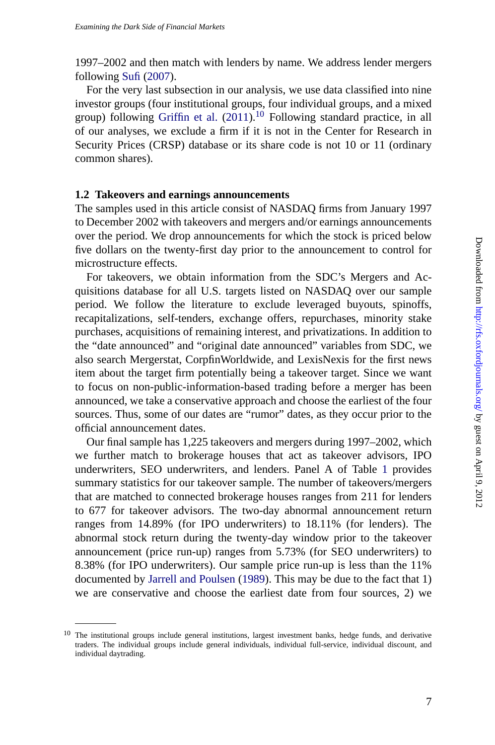1997–2002 and then match with lenders by name. We address lender mergers following Sufi (2007).

For the very last subsection in our analysis, we use data classified into nine investor groups (four institutional groups, four individual groups, and a mixed group) following Griffin et al.  $(2011)$ .<sup>10</sup> Following standard practice, in all of our analyses, we exclude a firm if it is not in the Center for Research in Security Prices (CRSP) database or its share code is not 10 or 11 (ordinary common shares).

# **1.2 Takeovers and earnings announcements**

The samples used in this article consist of NASDAQ firms from January 1997 to December 2002 with takeovers and mergers and/or earnings announcements over the period. We drop announcements for which the stock is priced below five dollars on the twenty-first day prior to the announcement to control for microstructure effects.

For takeovers, we obtain information from the SDC's Mergers and Acquisitions database for all U.S. targets listed on NASDAQ over our sample period. We follow the literature to exclude leveraged buyout[s,](#page-7-0) spinoffs, recapitalizations, self-tenders, exchange offers, repurchases, minority stake purchases, acquisitions of remaining interest, and privatizations. In addition to the "date announced" and "original date announced" variables from SDC, we also search Mergerstat, CorpfinWorldwide, and LexisNexis for the first news item about the target firm potentially being a takeover target. Since we want to focus on non-public-information-based trading before a merger has been announced, we take a conservative approach and choose the earliest of the four sources. Thus, [some of our dates are "rum](#page-32-0)or" dates, as they occur prior to the official announcement dates.

Our final sample has 1,225 takeovers and mergers during 1997–2002, which we further match to brokerage houses that act as takeover advisors, IPO underwriters, SEO underwriters, and lenders. Panel A of Table 1 provides summary statistics for our takeover sample. The number of takeovers/mergers that are matched to connected brokerage houses ranges from 211 for lenders to 677 for takeover advisors. The two-day abnormal announcement return ranges from 14.89% (for IPO underwriters) to 18.11% (for lenders). The abnormal stock return during the twenty-day window prior to the takeover announcement (price run-up) ranges from 5.73% (for SEO underwriters) to 8.38% (for IPO underwriters). Our sample price run-up is less than the 11% documented by Jarrell and Poulsen (1989). This may be due to the fact that 1) we are conservative and choose the earliest date from four sources, 2) we

<sup>&</sup>lt;sup>10</sup> The institutional groups include general institutions, largest investment banks, hedge funds, and derivative traders. The individual groups include general individuals, individual full-service, individual discount, and individual daytrading.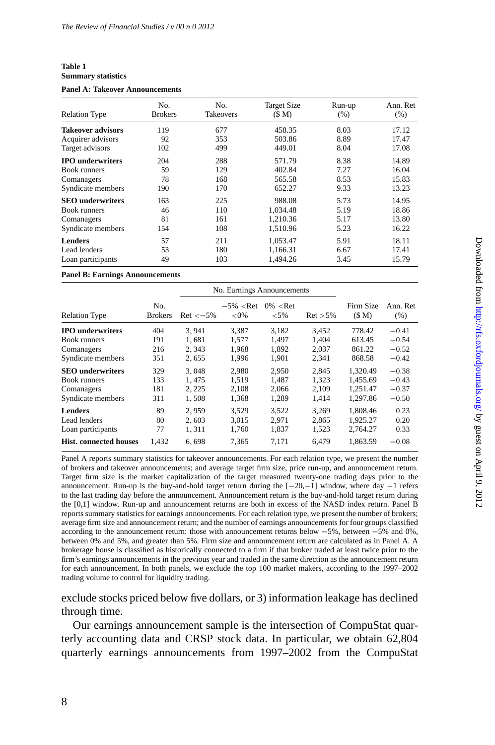# <span id="page-7-0"></span>**Table 1 Summary statistics**

#### **Panel A: Takeover Announcements**

| <b>Relation Type</b>     | No.<br><b>Brokers</b> | No.<br>Takeovers | <b>Target Size</b><br>(S M) | Run-up<br>(% ) | Ann. Ret<br>(% ) |
|--------------------------|-----------------------|------------------|-----------------------------|----------------|------------------|
| <b>Takeover advisors</b> | 119                   | 677              | 458.35                      | 8.03           | 17.12            |
| Acquirer advisors        | 92                    | 353              | 503.86                      | 8.89           | 17.47            |
| Target advisors          | 102                   | 499              | 449.01                      | 8.04           | 17.08            |
| <b>IPO</b> underwriters  | 204                   | 288              | 571.79                      | 8.38           | 14.89            |
| <b>Book runners</b>      | 59                    | 129              | 402.84                      | 7.27           | 16.04            |
| Comanagers               | 78                    | 168              | 565.58                      | 8.53           | 15.83            |
| Syndicate members        | 190                   | 170              | 652.27                      | 9.33           | 13.23            |
| <b>SEO</b> underwriters  | 163                   | 225              | 988.08                      | 5.73           | 14.95            |
| <b>Book runners</b>      | 46                    | 110              | 1.034.48                    | 5.19           | 18.86            |
| Comanagers               | 81                    | 161              | 1.210.36                    | 5.17           | 13.80            |
| Syndicate members        | 154                   | 108              | 1.510.96                    | 5.23           | 16.22            |
| <b>Lenders</b>           | 57                    | 211              | 1.053.47                    | 5.91           | 18.11            |
| Lead lenders             | 53                    | 180              | 1,166.31                    | 6.67           | 17.41            |
| Loan participants        | 49                    | 103              | 1.494.26                    | 3.45           | 15.79            |

**Panel B: Earnings Announcements**

|                               |                       |              | No. Earnings Announcements |                                              |             |                    |                  |
|-------------------------------|-----------------------|--------------|----------------------------|----------------------------------------------|-------------|--------------------|------------------|
| <b>Relation Type</b>          | No.<br><b>Brokers</b> | $Ret < -5\%$ | $-5\% <$ Ret<br>$< 0\%$    | $0\%$ <ret<br><math>&lt; 5\%</math></ret<br> | $Ret > 5\%$ | Firm Size<br>(S M) | Ann. Ret<br>(% ) |
| <b>IPO</b> underwriters       | 404                   | 3.941        | 3.387                      | 3.182                                        | 3.452       | 778.42             | $-0.41$          |
| <b>Book runners</b>           | 191                   | 1,681        | 1.577                      | 1.497                                        | 1.404       | 613.45             | $-0.54$          |
| Comanagers                    | 216                   | 2.343        | 1.968                      | 1.892                                        | 2.037       | 861.22             | $-0.52$          |
| Syndicate members             | 351                   | 2,655        | 1,996                      | 1,901                                        | 2,341       | 868.58             | $-0.42$          |
| <b>SEO</b> underwriters       | 329                   | 3.048        | 2.980                      | 2.950                                        | 2.845       | 1.320.49           | $-0.38$          |
| <b>Book runners</b>           | 133                   | 1.475        | 1.519                      | 1.487                                        | 1.323       | 1.455.69           | $-0.43$          |
| Comanagers                    | 181                   | 2, 225       | 2.108                      | 2.066                                        | 2.109       | 1.251.47           | $-0.37$          |
| Syndicate members             | 311                   | 1,508        | 1,368                      | 1,289                                        | 1,414       | 1,297.86           | $-0.50$          |
| <b>Lenders</b>                | 89                    | 2.959        | 3.529                      | 3.522                                        | 3.269       | 1.808.46           | 0.23             |
| Lead lenders                  | 80                    | 2,603        | 3.015                      | 2.971                                        | 2.865       | 1.925.27           | 0.20             |
| Loan participants             | 77                    | 1,311        | 1,760                      | 1,837                                        | 1,523       | 2,764.27           | 0.33             |
| <b>Hist.</b> connected houses | 1.432                 | 6,698        | 7.365                      | 7.171                                        | 6.479       | 1,863.59           | $-0.08$          |

Panel A reports summary statistics for takeover announcements. For each relation type, we present the number of brokers and takeover announcements; and average target firm size, price run-up, and announcement return. Target firm size is the market capitalization of the target measured twenty-one trading days prior to the announcement. Run-up is the buy-and-hold target return during the [−20,−1] window, where day −1 refers to the last trading day before the announcement. Announcement return is the buy-and-hold target return during the [0,1] window. Run-up and announcement returns are both in excess of the NASD index return. Panel B reports summary statistics for earnings announcements. For each relation type, we present the number of brokers; average firm size and announcement return; and the number of earnings announcements for four groups classified according to the announcement return: those with announcement returns below −5%, between −5% and 0%, between 0% and 5%, and greater than 5%. Firm size and announcement return are calculated as in Panel A. A brokerage house is classified as historically connected to a firm if that broker traded at least twice prior to the firm's earnings announcements in the previous year and traded in the same direction as the announcement return for each announcement. In both panels, we exclude the top 100 market makers, according to the 1997–2002 trading volume to control for liquidity trading.

exclude stocks priced below five dollars, or 3) information leakage has declined through time.

Our earnings announcement sample is the intersection of CompuStat quarterly accounting data and CRSP stock data. In particular, we obtain 62,804 quarterly earnings announcements from 1997–2002 from the CompuStat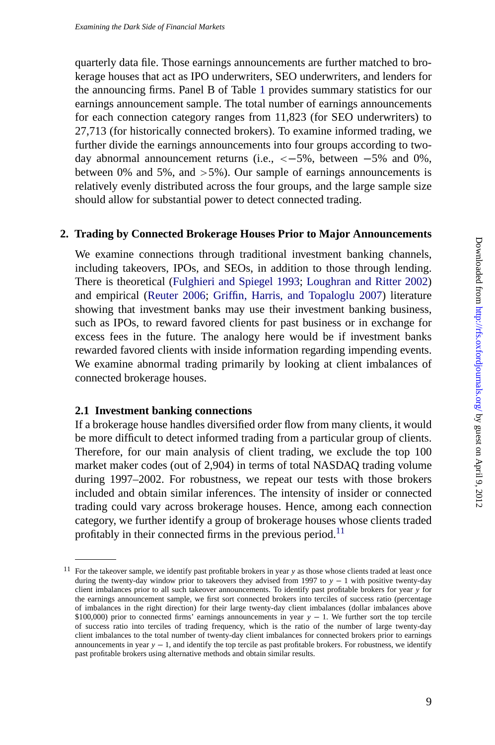<span id="page-8-0"></span>quarterly data file. Those earnings announcements are further matched to brokerage houses that act as IPO underwriters, SEO underwriters, and lenders for the announcing firms. Panel B of Table 1 provides summary statistics for our earnings announcement sample. The total number of earnings announcements for each connection [category ranges from](#page-32-0) [11,82](#page-32-0)3 [\(for SEO underwriters\) to](#page-33-0) 27,713 (for hist[orically conn](#page-33-0)e[cted brokers\). To examine informed t](#page-32-0)rading, we further divide the earnings announcements into four groups according to twoday abnormal announcement returns (i.e., <−5%, between −5% and 0%, between 0% and 5%, and  $>5\%$ ). Our sample of earnings announcements is relatively evenly distributed across the four groups, and the large sample size should allow for substantial power to detect connected trading.

# **2. Trading by Connected Brokerage Houses Prior to Major Announcements**

We examine connections through traditional investment banking channels, including takeovers, IPOs, and SEOs, in addition to those through lending. There is theoretical (Fulghieri and Spiegel 1993; Loughran and Ritter 2002) and empirical (Reuter 2006; Griffin, Harris, and Topaloglu 2007) literature showing that investment banks may use their investment banking business, such as IPOs, to reward favored clients for past business or in exchange for excess fees in the future. The analogy here would be if investment banks rewarded favored clients with inside information regarding impending events. We examine abnormal trading primarily by looking at client imbalances of connected brokerage houses.

# **2.1 Investment banking connections**

If a brokerage house handles diversified order flow from many clients, it would be more difficult to detect informed trading from a particular group of clients. Therefore, for our main analysis of client trading, we exclude the top 100 market maker codes (out of 2,904) in terms of total NASDAQ trading volume during 1997–2002. For robustness, we repeat our tests with those brokers included and obtain similar inferences. The intensity of insider or connected trading could vary across brokerage houses. Hence, among each connection category, we further identify a group of brokerage houses whose clients traded profitably in their connected firms in the previous period.<sup>11</sup>

<sup>11</sup> For the takeover sample, we identify past profitable brokers in year *y* as those whose clients traded at least once during the twenty-day window prior to takeovers they advised from 1997 to *y* − 1 with positive twenty-day client imbalances prior to all such takeover announcements. To identify past profitable brokers for year *y* for the earnings announcement sample, we first sort connected brokers into terciles of success ratio (percentage of imbalances in the right direction) for their large twenty-day client imbalances (dollar imbalances above \$100,000) prior to connected firms' earnings announcements in year *y* − 1. We further sort the top tercile of success ratio into terciles of trading frequency, which is the ratio of the number of large twenty-day client imbalances to the total number of twenty-day client imbalances for connected brokers prior to earnings announcements in year *y* − 1, and identify the top tercile as past profitable brokers. For robustness, we identify past profitable brokers using alternative methods and obtain similar results.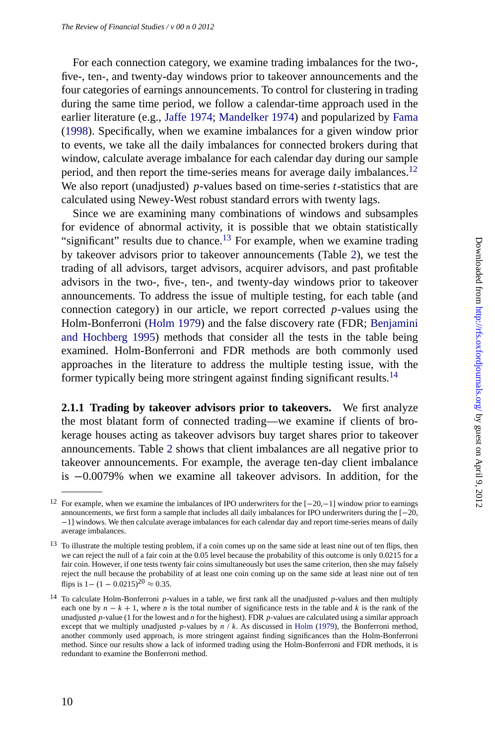For each connection category, we examine trading imbalances for the two-, five-, ten-, and twenty-day windows prior to takeover announcements and the four categories of earnings announcements. To control for clust[er](#page-10-0)ing in trading during the same time period, we follow a calendar-time approach used in the earlier literature (e.g., Jaffe 1974; Mandelker 1974) and popularized by Fama (1998). Specifically, when we examine imbalances for a given window prior to events, we take all the daily imbalances for connected brokers during that window, calculate [average imb](#page-32-0)alance for each calendar day during [our sample](#page-31-0) [period, and then repo](#page-31-0)rt the time-series means for average daily imbalances.<sup>12</sup> We also report (unadjusted) *p*-values based on time-series *t*-statistics that are calculated using Newey-West robust standard errors with twenty lags.

Since we are examining many combinations of windows and subsamples for evidence of abnormal activity, it is possible that we obtain statistically "significant" results due to chance.<sup>13</sup> For example, when we examine trading by takeover advisors prior to takeover announcements (Table 2), we test the trading of all advisors, target advisors, acquirer advisors, and past profitable advisors in the two-, [fiv](#page-10-0)e-, ten-, and twenty-day windows prior to takeover announcements. To address the issue of multiple testing, for each table (and connection category) in our article, we report corrected *p*-values using the Holm-Bonferroni (Holm 1979) and the false discovery rate (FDR; Benjamini and Hochberg 1995) methods that consider all the tests in the table being examined. Holm-Bonferroni and FDR methods are both commonly used approaches in the literature to address the multiple testing issue, with the former typically being more stringent against finding significant results.<sup>14</sup>

**2.1.1 Trading by takeover advisors prior to takeovers.** We first analyze the most blatant form of connected trading—we examine if clients of brokerage houses acting as takeover advisors buy target shares prior to takeover announcements. Table 2 shows that client imbalances are all negative prior to takeover announcements. For example, the averag[e](#page-32-0) [ten-day](#page-32-0) client imbalance is −0.0079% when we examine all takeover advisors. In addition, for the

<sup>&</sup>lt;sup>12</sup> For example, when we examine the imbalances of IPO underwriters for the  $[-20,-1]$  window prior to earnings announcements, we first form a sample that includes all daily imbalances for IPO underwriters during the [−20, −1] windows. We then calculate average imbalances for each calendar day and report time-series means of daily average imbalances.

<sup>&</sup>lt;sup>13</sup> To illustrate the multiple testing problem, if a coin comes up on the same side at least nine out of ten flips, then we can reject the null of a fair coin at the 0.05 level because the probability of this outcome is only 0.0215 for a fair coin. However, if one tests twenty fair coins simultaneously but uses the same criterion, then she may falsely reject the null because the probability of at least one coin coming up on the same side at least nine out of ten flips is  $1 - (1 - 0.0215)^{20} \approx 0.35$ .

<sup>14</sup> To calculate Holm-Bonferroni *p*-values in a table, we first rank all the unadjusted *p*-values and then multiply each one by  $n - k + 1$ , where *n* is the total number of significance tests in the table and *k* is the rank of the unadjusted *p*-value (1 for the lowest and *n* for the highest). FDR *p*-values are calculated using a similar approach except that we multiply unadjusted *p*-values by *n* / *k*. As discussed in Holm (1979), the Bonferroni method, another commonly used approach, is more stringent against finding significances than the Holm-Bonferroni method. Since our results show a lack of informed trading using the Holm-Bonferroni and FDR methods, it is redundant to examine the Bonferroni method.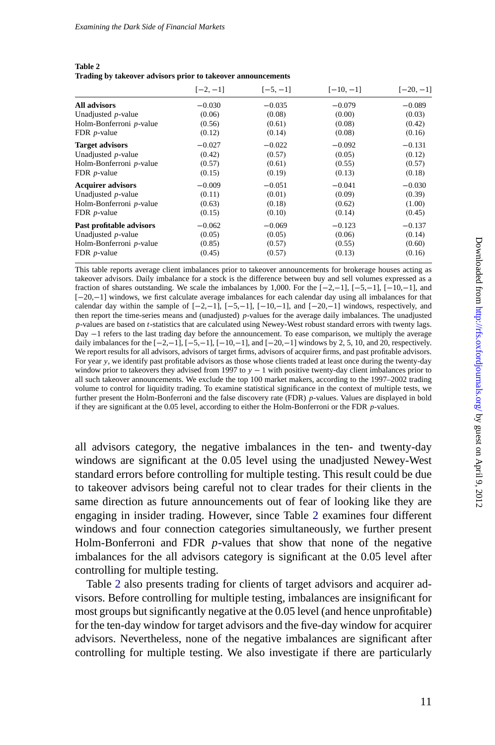#### <span id="page-10-0"></span>**Table 2 Trading by takeover advisors prior to takeover announcements**

|                          | $[-2, -1]$ | $[-5, -1]$ | $[-10, -1]$ | $[-20, -1]$ |
|--------------------------|------------|------------|-------------|-------------|
| All advisors             | $-0.030$   | $-0.035$   | $-0.079$    | $-0.089$    |
| Unadjusted $p$ -value    | (0.06)     | (0.08)     | (0.00)      | (0.03)      |
| Holm-Bonferroni p-value  | (0.56)     | (0.61)     | (0.08)      | (0.42)      |
| FDR $p$ -value           | (0.12)     | (0.14)     | (0.08)      | (0.16)      |
| <b>Target advisors</b>   | $-0.027$   | $-0.022$   | $-0.092$    | $-0.131$    |
| Unadjusted $p$ -value    | (0.42)     | (0.57)     | (0.05)      | (0.12)      |
| Holm-Bonferroni p-value  | (0.57)     | (0.61)     | (0.55)      | (0.57)      |
| FDR $p$ -value           | (0.15)     | (0.19)     | (0.13)      | (0.18)      |
| <b>Acquirer advisors</b> | $-0.009$   | $-0.051$   | $-0.041$    | $-0.030$    |
| Unadjusted $p$ -value    | (0.11)     | (0.01)     | (0.09)      | (0.39)      |
| Holm-Bonferroni p-value  | (0.63)     | (0.18)     | (0.62)      | (1.00)      |
| FDR $p$ -value           | (0.15)     | (0.10)     | (0.14)      | (0.45)      |
| Past profitable advisors | $-0.062$   | $-0.069$   | $-0.123$    | $-0.137$    |
| Unadjusted $p$ -value    | (0.05)     | (0.05)     | (0.06)      | (0.14)      |
| Holm-Bonferroni p-value  | (0.85)     | (0.57)     | (0.55)      | (0.60)      |
| FDR $p$ -value           | (0.45)     | (0.57)     | (0.13)      | (0.16)      |

This table reports average client imbalances prior to takeover announcements for brokerage houses acting as takeover advisors. Daily imbalance for a stock is the difference between buy and sell volumes expressed as a fraction of shares outstanding. We scale the imbalances by 1,000. For the  $[-2,-1]$ ,  $[-5,-1]$ ,  $[-10,-1]$ , and [−20,−1] windows, we first calculate average imbalances for each calendar day using all imbalances for that calendar day within the sample of  $[-2,-1]$ ,  $[-5,-1]$ ,  $[-10,-1]$ , and  $[-20,-1]$  windows, respectively, and then report the time-series means and (unadjusted) *p*-values for the average daily imbalances. The unadjusted *p*-values are based on *t*-statistics that are calculated using Newey-West robust standard errors with twenty lags. Day −1 refers to the last trading day before the announcement. To ease comparison, we multiply the average daily imbalances for the  $[-2, -1]$ ,  $[-5, -1]$ ,  $[-10, -1]$ , and  $[-20, -1]$  windows by 2, 5, 10, and 20, respectively. We report results for all advisors, advisors of target firms, advisors of acquirer firms, and past profitable advisors. For year *y*, we identify past profitable advisors as those whose clients traded at least once during the twenty-day window prior to takeovers they advised from 1997 to *y* − 1 with positive twenty-day client imbalances prior to all such takeover announcements. We exclude the top 100 market makers, according to the 1997–2002 trading volume to control for liquidity trading. To examine statistical significance in the context of multiple tests, we further present the Holm-Bonferroni and the false discovery rate (FDR) *p*-values. Values are displayed in bold if they are significant at the 0.05 level, according to either the Holm-Bonferroni or the FDR *p*-values.

all advisors category, the negative imbalances in the ten- and twenty-day windows are significant at the 0.05 level using the unadjusted Newey-West standard errors before controlling for multiple testing. This result could be due to takeover advisors being careful not to clear trades for their clients in the same direction as future announcements out of fear of looking like they are engaging in insider trading. However, since Table 2 examines four different windows and four connection categories simultaneously, we further present Holm-Bonferroni and FDR *p*-values that show that none of the negative imbalances for the all advisors category is significant at the 0.05 level after controlling for multiple testing.

Table 2 also presents trading for clients of target advisors and acquirer advisors. Before controlling for multiple testing, imbalances are insignificant for most groups but significantly negative at the 0.05 level (and hence unprofitable) for the ten-day window for target advisors and the five-day window for acquirer advisors. Nevertheless, none of the negative imbalances are significant after controlling for multiple testing. We also investigate if there are particularly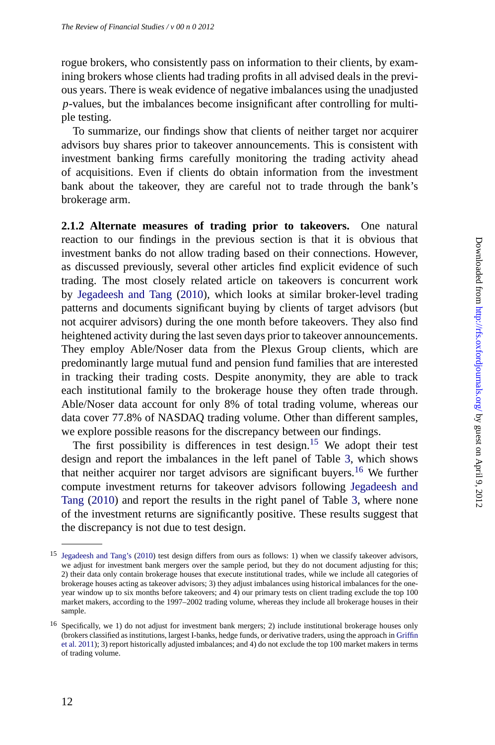rogue brokers, who consistently pass on information to their clients, by examining brokers whose clients had trading profits in all advised deals in the previous years. There is weak evidence of negative imbalances using the unadjusted *p*-values, but the imbalances become insignificant after controlling for multiple testing.

[To summarize, our findings](#page-32-0) show that clients of neither target nor acquirer advisors buy shares prior to takeover announcements. This is consistent with investment banking firms carefully monitoring the trading activity ahead of acquisitions. Even if clients do obtain information from the investment bank about the takeover, they are careful not to trade through the bank's brokerage arm.

**2.1.2 Alternate measures of trading prior to takeovers.** One natural reaction to our findings in the previous section is that it is obvious that investment banks do not allow trading based on their connections. However, as discussed previously, several other articles find explicit evidence of such trading. The most closely related article on takeovers is concurrent work by Jegadeesh and Tang (2010), which looks at similar bro[ke](#page-12-0)r-level trading patterns and documents significant buying by clients of target advisors (but not acquirer advisors) during the one month before takeovers. [They also find](#page-32-0) [heigh](#page-32-0)t[ened a](#page-32-0)ctivity during the last seven days prior to takeover a[nn](#page-12-0)ouncements. They employ Able/Noser data from the Plexus Group clients, which are predominantly large mutual fund and pension fund families that are interested in tracking their trading costs. Despite anonymity, they are able to track [each institutional fa](#page-32-0)mily to the brokerage house they often trade through. Able/Noser data account for only 8% of total trading volume, whereas our data cover 77.8% of NASDAQ trading volume. Other than different samples, we explore possible reasons for the discrepancy between our findings.

The first possibility is differences in test design.<sup>15</sup> We adopt their test design and report the imbalances in the left panel of Table 3, which shows [that](#page-32-0) [nei](#page-32-0)ther acquirer nor target advisors are significant buyers.<sup>16</sup> We fu[rther](#page-32-0) compute investment returns for takeover advisors following Jegadeesh and Tang (2010) and report the results in the right panel of Table 3, where none of the investment returns are significantly positive. These results suggest that the discrepancy is not due to test design.

<sup>15</sup> Jegadeesh and Tang's (2010) test design differs from ours as follows: 1) when we classify takeover advisors, we adjust for investment bank mergers over the sample period, but they do not document adjusting for this; 2) their data only contain brokerage houses that execute institutional trades, while we include all categories of brokerage houses acting as takeover advisors; 3) they adjust imbalances using historical imbalances for the oneyear window up to six months before takeovers; and 4) our primary tests on client trading exclude the top 100 market makers, according to the 1997–2002 trading volume, whereas they include all brokerage houses in their sample.

<sup>16</sup> Specifically, we 1) do not adjust for investment bank mergers; 2) include institutional brokerage houses only (brokers classified as institutions, largest I-banks, hedge funds, or derivative traders, using the approach in Griffin et al. 2011); 3) report historically adjusted imbalances; and 4) do not exclude the top 100 market makers in terms of trading volume.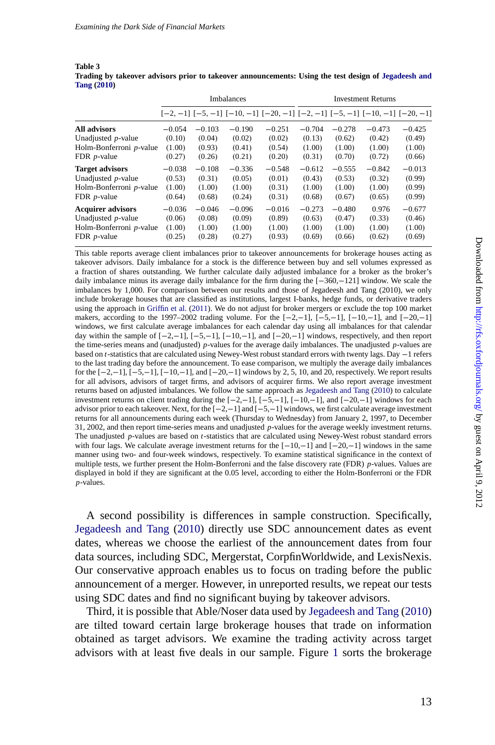<span id="page-12-0"></span>**Table 3 Trading by takeover advisors prior to takeover announcements: Using the test design of Jegadeesh and Tang (2010)**

|                          |          | <b>Imbalances</b> |          |                                                                                             |          | <b>Investment Returns</b> |          |          |  |
|--------------------------|----------|-------------------|----------|---------------------------------------------------------------------------------------------|----------|---------------------------|----------|----------|--|
|                          |          |                   |          | $[-2, -1]$ $[-5, -1]$ $[-10, -1]$ $[-20, -1]$ $[-2, -1]$ $[-5, -1]$ $[-10, -1]$ $[-20, -1]$ |          |                           |          |          |  |
| All advisors             | $-0.054$ | $-0.103$          | $-0.190$ | $-0.251$                                                                                    | $-0.704$ | $-0.278$                  | $-0.473$ | $-0.425$ |  |
| Unadjusted $p$ -value    | (0.10)   | (0.04)            | (0.02)   | (0.02)                                                                                      | (0.13)   | (0.62)                    | (0.42)   | (0.49)   |  |
| Holm-Bonferroni p-value  | (1.00)   | (0.93)            | (0.41)   | (0.54)                                                                                      | (1.00)   | (1.00)                    | (1.00)   | (1.00)   |  |
| FDR $p$ -value           | (0.27)   | (0.26)            | (0.21)   | (0.20)                                                                                      | (0.31)   | (0.70)                    | (0.72)   | (0.66)   |  |
| <b>Target advisors</b>   | $-0.038$ | $-0.108$          | $-0.336$ | $-0.548$                                                                                    | $-0.612$ | $-0.555$                  | $-0.842$ | $-0.013$ |  |
| Unadjusted $p$ -value    | (0.53)   | (0.31)            | (0.05)   | (0.01)                                                                                      | (0.43)   | (0.53)                    | (0.32)   | (0.99)   |  |
| Holm-Bonferroni p-value  | (1.00)   | (1.00)            | (1.00)   | (0.31)                                                                                      | (1.00)   | (1.00)                    | (1.00)   | (0.99)   |  |
| FDR $p$ -value           | (0.64)   | (0.68)            | (0.24)   | (0.31)                                                                                      | (0.68)   | (0.67)                    | (0.65)   | (0.99)   |  |
| <b>Acquirer advisors</b> | $-0.036$ | $-0.046$          | $-0.096$ | $-0.016$                                                                                    | $-0.273$ | $-0.480$                  | 0.976    | $-0.677$ |  |
| Unadjusted $p$ -value    | (0.06)   | (0.08)            | (0.09)   | (0.89)                                                                                      | (0.63)   | (0.47)                    | (0.33)   | (0.46)   |  |
| Holm-Bonferroni p-value  | (1.00)   | (1.00)            | (1.00)   | (1.00)                                                                                      | (1.00)   | (1.00)                    | (1.00)   | (1.00)   |  |
| FDR $p$ -value           | (0.25)   | (0.28)            | (0.27)   | (0.93)                                                                                      | (0.69)   | (0.66)                    | (0.62)   | (0.69)   |  |

This table reports average client imbalances prior to takeover announcements for brokerage houses acting as takeover advisors. Daily imbalance for a stock is the difference between buy and sell volumes expressed as a fraction of shares outstanding. We further calculate daily adjusted imbalance for a broker as the broker's daily imbalance minus its average daily imbalance for the firm during the [−360,−121] window. We scale the imbalances by 1,000. For comparison between our results and those of Jegadeesh and Tang (2010), we only include brokerage houses that are classified as institutions, largest I-banks, hedge funds, or derivative traders using the approach in Griffin et al. (2011). We do not adjust for broker mergers or exclude the top 100 market makers, according to the 1997–2002 trading volume. For the  $[-2,-1]$ ,  $[-5,-1]$ ,  $[-10,-1]$ , and  $[-20,-1]$ windows, we first calculate average imbalances for each calendar day using all imbalances for that calendar day within the sample of [−2,−1], [−5,−1], [−10,−1], and [−20,−1] windows, respectively, and then report the time-series means and (unadjusted) *p*-values for the average daily imbalances. The unadjusted *p*-values are based on *t*-statistics that are calculated using Newey-West robust standard errors with twenty lags. Day −1 refers [to the last trading day before](#page-32-0) th[e announ](#page-32-0)cement. To ease comparison, we multiply the average daily imbalances for the  $[-2,-1]$ ,  $[-5,-1]$ ,  $[-10,-1]$ , and  $[-20,-1]$  windows by 2, 5, 10, and 20, respectively. We report results for all advisors, advisors of target firms, and advisors of acquirer firms. We also report average investment returns based on adjusted imbalances. We follow the same approach as Jegadeesh and Tang (2010) to calculate investment returns on client trading during the  $[-2,-1]$ ,  $[-5,-1]$ ,  $[-10,-1]$ , and  $[-20,-1]$  windows for each advisor prior to each takeover. Next, for the [−2,−1] and [−5,−1] windows, we first calculate average investment returns for all announcements during each week (Thursday to Wednesday) from January 2, 1997, to December 31, 2002, and then report time-series means and unadjusted *p*-values for the average weekly investment returns. The unadjusted *p*-values are based on *t*-statistics that are calculated using Newey-West robust standard errors with four lags. We calculate average investment returns for the  $[-10,-1]$  and  $[-20,-1]$  [windows in](#page-32-0) [the sam](#page-32-0)e manner using two- and four-week windows, respectively. To examine statistical significance in the context of multiple tests, we further present the Holm-Bonferroni and the false discovery rate (FDR) *p*-values. Values are displayed in bold if they are significant at the 0.05 level, according to either the Holm-Bonferroni or the FDR *p*-values.

A second possibility is differences in sample construction. Specifically, Jegadeesh and Tang (2010) directly use SDC announcement dates as event dates, whereas we choose the earliest of the announcement dates from four data sources, including SDC, Mergerstat, CorpfinWorldwide, and LexisNexis. Our conservative approach enables us to focus on trading before the public announcement of a merger. However, in unreported results, we repeat our tests using SDC dates and find no significant buying by takeover advisors.

Third, it is possible that Able/Noser data used by Jegadeesh and Tang (2010) are tilted toward certain large brokerage houses that trade on information obtained as target advisors. We examine the trading activity across target advisors with at least five deals in our sample. Figure 1 sorts the brokerage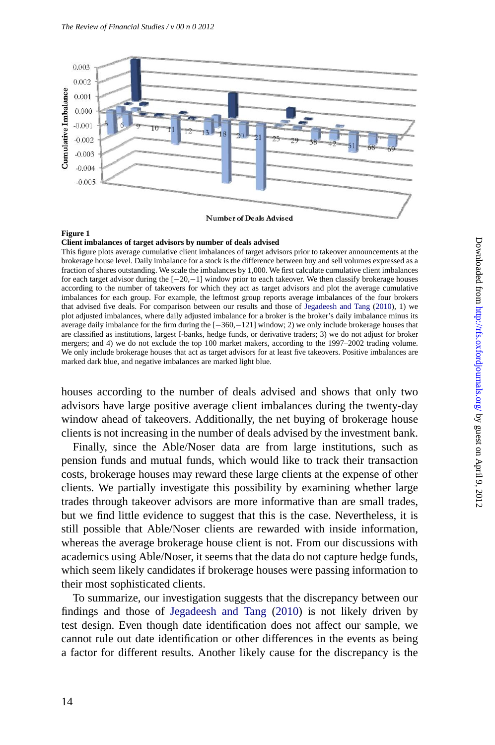

#### **Figure 1**

#### **Client imbalances of target advisors by number of deals advised**

This figure plots average cumulative client imbalances of target advisors prior to takeover announcements at the brokerage house level. Daily imbalance for a stock is the difference between buy and sell volumes expressed as a fraction of shares outstanding. We scale the imbalances by 1,000. We first calculate cumulative client imbalances for each target advisor during the [−20,−1] window prior to each takeover. We then classify brokerage houses according to the number of takeovers for which they act as target advisors and plot the average cumulative imbalances for each group. For example, the leftmost group reports average imbalances of the four brokers that advised five deals. For comparison between our results and those of Jegadeesh and Tang (2010), 1) we plot adjusted imbalances, where daily adjusted imbalance for a broker is the broker's daily imbalance minus its average daily imbalance for the firm during the [−360,−121] window; 2) we only include brokerage houses that are classified as institutions, largest I-banks, hedge funds, or derivative traders; 3) we do not adjust for broker mergers; and 4) we do not exclude the top 100 market makers, according to the 1997–2002 trading volume. We only include brokerage houses that act as target advisors for at least five takeovers. Positive imbalances are marked dark blue, and negative imbalances are marked light blue.

houses according to the number of deals advised and shows that only two advisors have large positive average client imbalances during the twenty-day window ahead of takeovers. Additionally, the net buying of brokerage house clients is not increasing in the number of deals advised by the investment bank.

Finally, since the [Able/Noser data are f](#page-32-0)r[om la](#page-32-0)rge institutions, such as pension funds and mutual funds, which would like to track their transaction costs, brokerage houses may reward these large clients at the expense of other clients. We partially investigate this possibility by examining whether large trades through takeover advisors are more informative than are small trades, but we find little evidence to suggest that this is the case. Nevertheless, it is still possible that Able/Noser clients are rewarded with inside information, whereas the average brokerage house client is not. From our discussions with academics using Able/Noser, it seems that the data do not capture hedge funds, which seem likely candidates if brokerage houses were passing information to their most sophisticated clients.

To summarize, our investigation suggests that the discrepancy between our findings and those of Jegadeesh and Tang (2010) is not likely driven by test design. Even though date identification does not affect our sample, we cannot rule out date identification or other differences in the events as being a factor for different results. Another likely cause for the discrepancy is the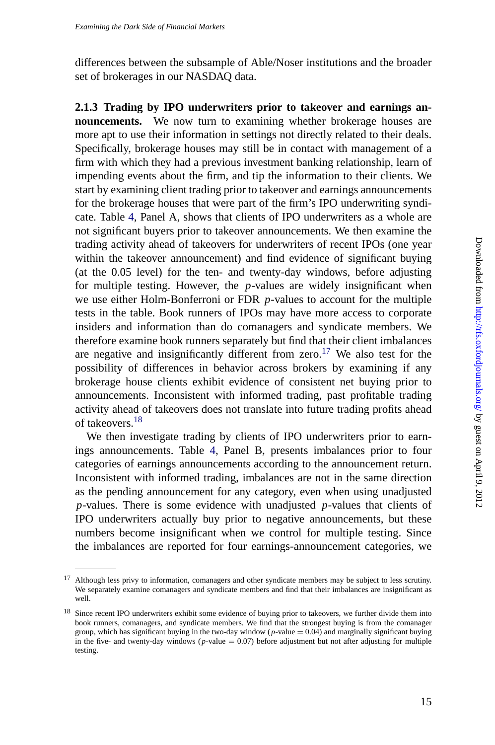differences between the subsample of Able/Noser institutions and the broader set of brokerages in our NASDAQ data.

**2.1.3 Trading by IPO underwriters prior to takeover and earnings announcements.** We now turn to examining whether brokerage houses are more apt to use their information in settings not directly related to their deals. Specifically, brokerage houses may still be in contact with management of a firm with which they had a previous investment banking relationship, learn of impending events about the firm, and tip the information to their clients. We start by examining client trading prior to takeover and earnings announcements for the brokerage houses that were part of the firm's IPO underwriting syndicate. Table 4, Panel A, shows that clients of IPO underwriters as a whole are not significant buyers prior to takeover announcements. We then examine the trading activity ahead of takeovers for underwriters of recent IPOs (one year within the takeover announcement) and find evidence of significant buying (at the 0.05 level) for the ten- and twenty-day windows, before adjusting for multiple testing. Howev[er](#page-15-0), the *p*-values are widely insignificant when we use either Holm-Bonferroni or FDR *p*-values to account for the multiple tests in the table. Book runners of IPOs may have more access to corporate insiders and information than do comanagers and syndicate members. We therefore examine book runners separately but find that their client imbalances are negative and insignificantly different from zero.<sup>17</sup> We also test for the possibility of differences in behavior across brokers by examining if any brokerage house clients exhibit evidence of consistent net buying prior to announcements. Inconsistent with informed trading, past profitable trading activity ahead of takeovers does not translate into future trading profits ahead of takeovers.18

We then investigate trading by clients of IPO underwriters prior to earnings announcements. Table 4, Panel B, presents imbalances prior to four categories of earnings announcements according to the announcement return. Inconsistent with informed trading, imbalances are not in the same direction as the pending announcement for any category, even when using unadjusted *p*-values. There is some evidence with unadjusted *p*-values that clients of IPO underwriters actually buy prior to negative announcements, but these numbers become insignificant when we control for multiple testing. Since the imbalances are reported for four earnings-announcement categories, we

<sup>17</sup> Although less privy to information, comanagers and other syndicate members may be subject to less scrutiny. We separately examine comanagers and syndicate members and find that their imbalances are insignificant as well.

<sup>&</sup>lt;sup>18</sup> Since recent IPO underwriters exhibit some evidence of buying prior to takeovers, we further divide them into book runners, comanagers, and syndicate members. We find that the strongest buying is from the comanager group, which has significant buying in the two-day window (*p*-value = 0.04) and marginally significant buying in the five- and twenty-day windows ( $p$ -value = 0.07) before adjustment but not after adjusting for multiple testing.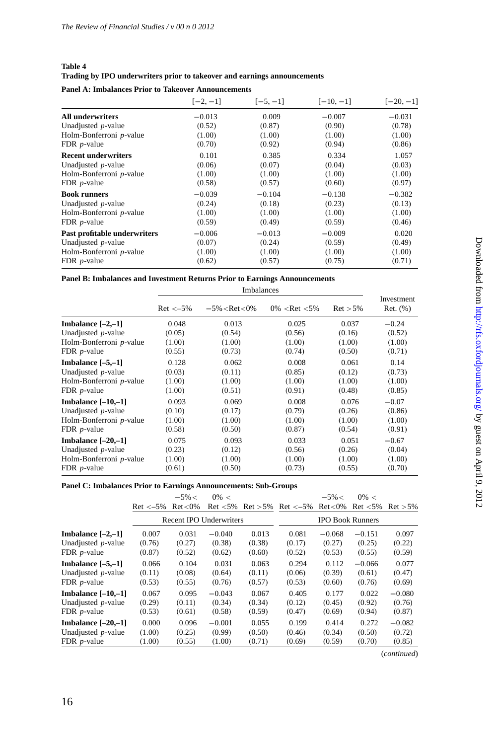### <span id="page-15-0"></span>**Table 4 Trading by IPO underwriters prior to takeover and earnings announcements**

**Panel A: Imbalances Prior to Takeover Announcements**

|                              | $[-2, -1]$ | $[-5, -1]$ | $[-10, -1]$ | $[-20, -1]$ |
|------------------------------|------------|------------|-------------|-------------|
| <b>All underwriters</b>      | $-0.013$   | 0.009      | $-0.007$    | $-0.031$    |
| Unadjusted $p$ -value        | (0.52)     | (0.87)     | (0.90)      | (0.78)      |
| Holm-Bonferroni p-value      | (1.00)     | (1.00)     | (1.00)      | (1.00)      |
| FDR $p$ -value               | (0.70)     | (0.92)     | (0.94)      | (0.86)      |
| <b>Recent underwriters</b>   | 0.101      | 0.385      | 0.334       | 1.057       |
| Unadjusted $p$ -value        | (0.06)     | (0.07)     | (0.04)      | (0.03)      |
| Holm-Bonferroni p-value      | (1.00)     | (1.00)     | (1.00)      | (1.00)      |
| FDR $p$ -value               | (0.58)     | (0.57)     | (0.60)      | (0.97)      |
| <b>Book runners</b>          | $-0.039$   | $-0.104$   | $-0.138$    | $-0.382$    |
| Unadjusted $p$ -value        | (0.24)     | (0.18)     | (0.23)      | (0.13)      |
| Holm-Bonferroni p-value      | (1.00)     | (1.00)     | (1.00)      | (1.00)      |
| FDR $p$ -value               | (0.59)     | (0.49)     | (0.59)      | (0.46)      |
| Past profitable underwriters | $-0.006$   | $-0.013$   | $-0.009$    | 0.020       |
| Unadjusted $p$ -value        | (0.07)     | (0.24)     | (0.59)      | (0.49)      |
| Holm-Bonferroni p-value      | (1.00)     | (1.00)     | (1.00)      | (1.00)      |
| FDR $p$ -value               | (0.62)     | (0.57)     | (0.75)      | (0.71)      |

# **Panel B: Imbalances and Investment Returns Prior to Earnings Announcements**

|                            | $Ret < -5\%$ | $-5\% <$ Ret $<$ 0% | $0\%$ <ret <5%<="" th=""><th><math>Ret &gt; 5\%</math></th><th>Investment<br/><math>Ret.</math> <math>(\%)</math></th></ret> | $Ret > 5\%$ | Investment<br>$Ret.$ $(\%)$ |
|----------------------------|--------------|---------------------|------------------------------------------------------------------------------------------------------------------------------|-------------|-----------------------------|
| Imbalance $[-2,-1]$        | 0.048        | 0.013               | 0.025                                                                                                                        | 0.037       | $-0.24$                     |
| Unadjusted $p$ -value      | (0.05)       | (0.54)              | (0.56)                                                                                                                       | (0.16)      | (0.52)                      |
| Holm-Bonferroni p-value    | (1.00)       | (1.00)              | (1.00)                                                                                                                       | (1.00)      | (1.00)                      |
| FDR $p$ -value             | (0.55)       | (0.73)              | (0.74)                                                                                                                       | (0.50)      | (0.71)                      |
| Imbalance $[-5,-1]$        | 0.128        | 0.062               | 0.008                                                                                                                        | 0.061       | 0.14                        |
| Unadjusted <i>p</i> -value | (0.03)       | (0.11)              | (0.85)                                                                                                                       | (0.12)      | (0.73)                      |
| Holm-Bonferroni p-value    | (1.00)       | (1.00)              | (1.00)                                                                                                                       | (1.00)      | (1.00)                      |
| FDR $p$ -value             | (1.00)       | (0.51)              | (0.91)                                                                                                                       | (0.48)      | (0.85)                      |
| Imbalance $[-10,-1]$       | 0.093        | 0.069               | 0.008                                                                                                                        | 0.076       | $-0.07$                     |
| Unadjusted <i>p</i> -value | (0.10)       | (0.17)              | (0.79)                                                                                                                       | (0.26)      | (0.86)                      |
| Holm-Bonferroni p-value    | (1.00)       | (1.00)              | (1.00)                                                                                                                       | (1.00)      | (1.00)                      |
| FDR $p$ -value             | (0.58)       | (0.50)              | (0.87)                                                                                                                       | (0.54)      | (0.91)                      |
| Imbalance $[-20,-1]$       | 0.075        | 0.093               | 0.033                                                                                                                        | 0.051       | $-0.67$                     |
| Unadjusted $p$ -value      | (0.23)       | (0.12)              | (0.56)                                                                                                                       | (0.26)      | (0.04)                      |
| Holm-Bonferroni p-value    | (1.00)       | (1.00)              | (1.00)                                                                                                                       | (1.00)      | (1.00)                      |
| FDR $p$ -value             | (0.61)       | (0.50)              | (0.73)                                                                                                                       | (0.55)      | (0.70)                      |

# **Panel C: Imbalances Prior to Earnings Announcements: Sub-Groups**

|                       | $Ret < -5\%$ | $-5\% <$<br>$Ret < 0\%$ | $0\% <$<br>$Ret < 5\%$         | $Ret > 5\%$ | $Ret < -5\%$ | $-5\% <$<br>$Ret < 0\%$ | $0\% <$<br>$Ret < 5\%$ | $Ret > 5\%$ |
|-----------------------|--------------|-------------------------|--------------------------------|-------------|--------------|-------------------------|------------------------|-------------|
|                       |              |                         | <b>Recent IPO Underwriters</b> |             |              | <b>IPO Book Runners</b> |                        |             |
| Imbalance $[-2,-1]$   | 0.007        | 0.031                   | $-0.040$                       | 0.013       | 0.081        | $-0.068$                | $-0.151$               | 0.097       |
| Unadjusted $p$ -value | (0.76)       | (0.27)                  | (0.38)                         | (0.38)      | (0.17)       | (0.27)                  | (0.25)                 | (0.22)      |
| FDR $p$ -value        | (0.87)       | (0.52)                  | (0.62)                         | (0.60)      | (0.52)       | (0.53)                  | (0.55)                 | (0.59)      |
| Imbalance $[-5,-1]$   | 0.066        | 0.104                   | 0.031                          | 0.063       | 0.294        | 0.112                   | $-0.066$               | 0.077       |
| Unadjusted $p$ -value | (0.11)       | (0.08)                  | (0.64)                         | (0.11)      | (0.06)       | (0.39)                  | (0.61)                 | (0.47)      |
| FDR $p$ -value        | (0.53)       | (0.55)                  | (0.76)                         | (0.57)      | (0.53)       | (0.60)                  | (0.76)                 | (0.69)      |
| Imbalance $[-10,-1]$  | 0.067        | 0.095                   | $-0.043$                       | 0.067       | 0.405        | 0.177                   | 0.022                  | $-0.080$    |
| Unadjusted $p$ -value | (0.29)       | (0.11)                  | (0.34)                         | (0.34)      | (0.12)       | (0.45)                  | (0.92)                 | (0.76)      |
| FDR $p$ -value        | (0.53)       | (0.61)                  | (0.58)                         | (0.59)      | (0.47)       | (0.69)                  | (0.94)                 | (0.87)      |
| Imbalance $[-20,-1]$  | 0.000        | 0.096                   | $-0.001$                       | 0.055       | 0.199        | 0.414                   | 0.272                  | $-0.082$    |
| Unadjusted $p$ -value | (1.00)       | (0.25)                  | (0.99)                         | (0.50)      | (0.46)       | (0.34)                  | (0.50)                 | (0.72)      |
| FDR $p$ -value        | (1.00)       | (0.55)                  | (1.00)                         | (0.71)      | (0.69)       | (0.59)                  | (0.70)                 | (0.85)      |
|                       |              |                         |                                |             |              |                         |                        | (continued) |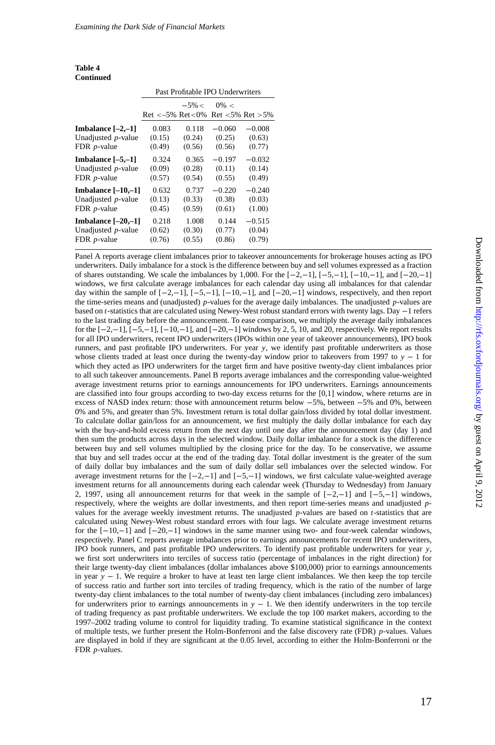#### **Table 4 Continued**

|                       |                          | Past Profitable IPO Underwriters |                                    |          |  |  |  |  |
|-----------------------|--------------------------|----------------------------------|------------------------------------|----------|--|--|--|--|
|                       | $Ret < -5\%$ $Ret < 0\%$ | $-5\% <$                         | $0\% <$<br>$Ret < 5\%$ $Ret > 5\%$ |          |  |  |  |  |
| Imbalance $[-2,-1]$   | 0.083                    | 0.118                            | $-0.060$                           | $-0.008$ |  |  |  |  |
| Unadjusted $p$ -value | (0.15)                   | (0.24)                           | (0.25)                             | (0.63)   |  |  |  |  |
| FDR $p$ -value        | (0.49)                   | (0.56)                           | (0.56)                             | (0.77)   |  |  |  |  |
| Imbalance $[-5,-1]$   | 0.324                    | 0.365                            | $-0.197$                           | $-0.032$ |  |  |  |  |
| Unadjusted $p$ -value | (0.09)                   | (0.28)                           | (0.11)                             | (0.14)   |  |  |  |  |
| FDR $p$ -value        | (0.57)                   | (0.54)                           | (0.55)                             | (0.49)   |  |  |  |  |
| Imbalance $[-10,-1]$  | 0.632                    | 0.737                            | $-0.220$                           | $-0.240$ |  |  |  |  |
| Unadjusted $p$ -value | (0.13)                   | (0.33)                           | (0.38)                             | (0.03)   |  |  |  |  |
| FDR $p$ -value        | (0.45)                   | (0.59)                           | (0.61)                             | (1.00)   |  |  |  |  |
| Imbalance $[-20,-1]$  | 0.218                    | 1.008                            | 0.144                              | $-0.515$ |  |  |  |  |
| Unadjusted $p$ -value | (0.62)                   | (0.30)                           | (0.77)                             | (0.04)   |  |  |  |  |
| FDR $p$ -value        | (0.76)                   | (0.55)                           | (0.86)                             | (0.79)   |  |  |  |  |

Panel A reports average client imbalances prior to takeover announcements for brokerage houses acting as IPO underwriters. Daily imbalance for a stock is the difference between buy and sell volumes expressed as a fraction of shares outstanding. We scale the imbalances by 1,000. For the [−2,−1], [−5,−1], [−10,−1], and [−20,−1] windows, we first calculate average imbalances for each calendar day using all imbalances for that calendar day within the sample of [−2,−1], [−5,−1], [−10,−1], and [−20,−1] windows, respectively, and then report the time-series means and (unadjusted) *p*-values for the average daily imbalances. The unadjusted *p*-values are based on *t*-statistics that are calculated using Newey-West robust standard errors with twenty lags. Day −1 refers to the last trading day before the announcement. To ease comparison, we multiply the average daily imbalances for the  $[-2,-1]$ ,  $[-5,-1]$ ,  $[-10,-1]$ , and  $[-20,-1]$  windows by 2, 5, 10, and 20, respectively. We report results for all IPO underwriters, recent IPO underwriters (IPOs within one year of takeover announcements), IPO book runners, and past profitable IPO underwriters. For year *y*, we identify past profitable underwriters as those whose clients traded at least once during the twenty-day window prior to takeovers from 1997 to *y* − 1 for which they acted as IPO underwriters for the target firm and have positive twenty-day client imbalances prior to all such takeover announcements. Panel B reports average imbalances and the corresponding value-weighted average investment returns prior to earnings announcements for IPO underwriters. Earnings announcements are classified into four groups according to two-day excess returns for the [0,1] window, where returns are in excess of NASD index return: those with announcement returns below −5%, between −5% and 0%, between 0% and 5%, and greater than 5%. Investment return is total dollar gain/loss divided by total dollar investment. To calculate dollar gain/loss for an announcement, we first multiply the daily dollar imbalance for each day with the buy-and-hold excess return from the next day until one day after the announcement day (day 1) and then sum the products across days in the selected window. Daily dollar imbalance for a stock is the difference between buy and sell volumes multiplied by the closing price for the day. To be conservative, we assume that buy and sell trades occur at the end of the trading day. Total dollar investment is the greater of the sum of daily dollar buy imbalances and the sum of daily dollar sell imbalances over the selected window. For average investment returns for the [−2,−1] and [−5,−1] windows, we first calculate value-weighted average investment returns for all announcements during each calendar week (Thursday to Wednesday) from January 2, 1997, using all announcement returns for that week in the sample of [−2,−1] and [−5,−1] windows, respectively, where the weights are dollar investments, and then report time-series means and unadjusted *p*values for the average weekly investment returns. The unadjusted *p*-values are based on *t*-statistics that are calculated using Newey-West robust standard errors with four lags. We calculate average investment returns for the [−10,−1] and [−20,−1] windows in the same manner using two- and four-week calendar windows, respectively. Panel C reports average imbalances prior to earnings announcements for recent IPO underwriters, IPO book runners, and past profitable IPO underwriters. To identify past profitable underwriters for year *y*, we first sort underwriters into terciles of success ratio (percentage of imbalances in the right direction) for their large twenty-day client imbalances (dollar imbalances above \$100,000) prior to earnings announcements in year *y* − 1. We require a broker to have at least ten large client imbalances. We then keep the top tercile of success ratio and further sort into terciles of trading frequency, which is the ratio of the number of large twenty-day client imbalances to the total number of twenty-day client imbalances (including zero imbalances) for underwriters prior to earnings announcements in  $y - 1$ . We then identify underwriters in the top tercile of trading frequency as past profitable underwriters. We exclude the top 100 market makers, according to the 1997–2002 trading volume to control for liquidity trading. To examine statistical significance in the context of multiple tests, we further present the Holm-Bonferroni and the false discovery rate (FDR) *p*-values. Values are displayed in bold if they are significant at the 0.05 level, according to either the Holm-Bonferroni or the FDR *p*-values.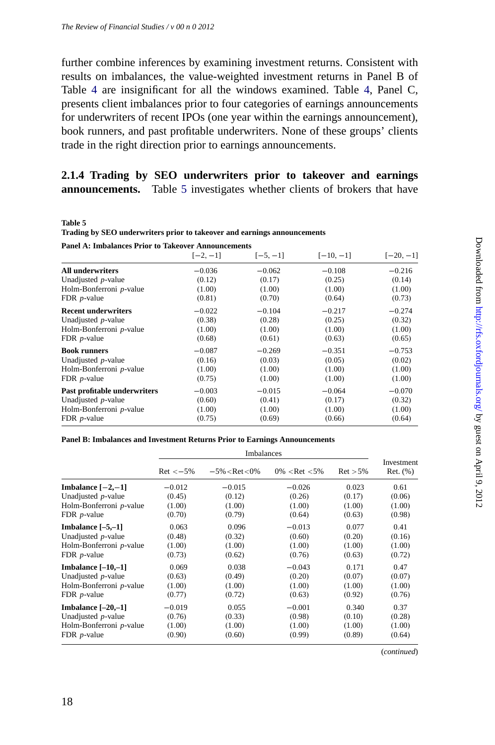further combine inferences by examining investment returns. Consistent with results on imbalances, the value-weighted investment returns in Panel B of Table 4 are insignificant for all the windows examined. Table 4, Panel C, presents client imbalances prior to four categories of earnings announcements for underwriters of recent IPOs (one year within the earnings announcement), book runners, and past profitable underwriters. None of these groups' clients trade in the right direction prior to earnings announcements.

**2.1.4 Trading by SEO underwriters prior to takeover and earnings announcements.** Table 5 investigates whether clients of brokers that have

**Table 5**

**Trading by SEO underwriters prior to takeover and earnings announcements Panel A: Imbalances Prior to Takeover Announcements**

| Panel A: Himalances Prior to Takeover Announcements |            |            |             |             |
|-----------------------------------------------------|------------|------------|-------------|-------------|
|                                                     | $[-2, -1]$ | $[-5, -1]$ | $[-10, -1]$ | $[-20, -1]$ |
| <b>All underwriters</b>                             | $-0.036$   | $-0.062$   | $-0.108$    | $-0.216$    |
| Unadjusted $p$ -value                               | (0.12)     | (0.17)     | (0.25)      | (0.14)      |
| Holm-Bonferroni p-value                             | (1.00)     | (1.00)     | (1.00)      | (1.00)      |
| FDR $p$ -value                                      | (0.81)     | (0.70)     | (0.64)      | (0.73)      |
| <b>Recent underwriters</b>                          | $-0.022$   | $-0.104$   | $-0.217$    | $-0.274$    |
| Unadjusted $p$ -value                               | (0.38)     | (0.28)     | (0.25)      | (0.32)      |
| Holm-Bonferroni p-value                             | (1.00)     | (1.00)     | (1.00)      | (1.00)      |
| FDR $p$ -value                                      | (0.68)     | (0.61)     | (0.63)      | (0.65)      |
| <b>Book runners</b>                                 | $-0.087$   | $-0.269$   | $-0.351$    | $-0.753$    |
| Unadjusted $p$ -value                               | (0.16)     | (0.03)     | (0.05)      | (0.02)      |
| Holm-Bonferroni p-value                             | (1.00)     | (1.00)     | (1.00)      | (1.00)      |
| FDR $p$ -value                                      | (0.75)     | (1.00)     | (1.00)      | (1.00)      |
| Past profitable underwriters                        | $-0.003$   | $-0.015$   | $-0.064$    | $-0.070$    |
| Unadjusted $p$ -value                               | (0.60)     | (0.41)     | (0.17)      | (0.32)      |
| Holm-Bonferroni p-value                             | (1.00)     | (1.00)     | (1.00)      | (1.00)      |
| FDR $p$ -value                                      | (0.75)     | (0.69)     | (0.66)      | (0.64)      |

#### **Panel B: Imbalances and Investment Returns Prior to Earnings Announcements**

|                            |              | <b>Imbalances</b>   |                                                                                                                              |             |                             |
|----------------------------|--------------|---------------------|------------------------------------------------------------------------------------------------------------------------------|-------------|-----------------------------|
|                            | $Ret < -5\%$ | $-5\% <$ Ret $<$ 0% | $0\%$ <ret <5%<="" th=""><th><math>Ret &gt; 5\%</math></th><th>Investment<br/><math>Ret.</math> <math>(\%)</math></th></ret> | $Ret > 5\%$ | Investment<br>$Ret.$ $(\%)$ |
| Imbalance $[-2,-1]$        | $-0.012$     | $-0.015$            | $-0.026$                                                                                                                     | 0.023       | 0.61                        |
| Unadjusted <i>p</i> -value | (0.45)       | (0.12)              | (0.26)                                                                                                                       | (0.17)      | (0.06)                      |
| Holm-Bonferroni p-value    | (1.00)       | (1.00)              | (1.00)                                                                                                                       | (1.00)      | (1.00)                      |
| FDR $p$ -value             | (0.70)       | (0.79)              | (0.64)                                                                                                                       | (0.63)      | (0.98)                      |
| Imbalance $[-5,-1]$        | 0.063        | 0.096               | $-0.013$                                                                                                                     | 0.077       | 0.41                        |
| Unadjusted $p$ -value      | (0.48)       | (0.32)              | (0.60)                                                                                                                       | (0.20)      | (0.16)                      |
| Holm-Bonferroni p-value    | (1.00)       | (1.00)              | (1.00)                                                                                                                       | (1.00)      | (1.00)                      |
| FDR $p$ -value             | (0.73)       | (0.62)              | (0.76)                                                                                                                       | (0.63)      | (0.72)                      |
| Imbalance $[-10,-1]$       | 0.069        | 0.038               | $-0.043$                                                                                                                     | 0.171       | 0.47                        |
| Unadjusted <i>p</i> -value | (0.63)       | (0.49)              | (0.20)                                                                                                                       | (0.07)      | (0.07)                      |
| Holm-Bonferroni p-value    | (1.00)       | (1.00)              | (1.00)                                                                                                                       | (1.00)      | (1.00)                      |
| FDR $p$ -value             | (0.77)       | (0.72)              | (0.63)                                                                                                                       | (0.92)      | (0.76)                      |
| Imbalance $[-20,-1]$       | $-0.019$     | 0.055               | $-0.001$                                                                                                                     | 0.340       | 0.37                        |
| Unadjusted $p$ -value      | (0.76)       | (0.33)              | (0.98)                                                                                                                       | (0.10)      | (0.28)                      |
| Holm-Bonferroni p-value    | (1.00)       | (1.00)              | (1.00)                                                                                                                       | (1.00)      | (1.00)                      |
| FDR $p$ -value             | (0.90)       | (0.60)              | (0.99)                                                                                                                       | (0.89)      | (0.64)                      |
|                            |              |                     |                                                                                                                              |             | (continued)                 |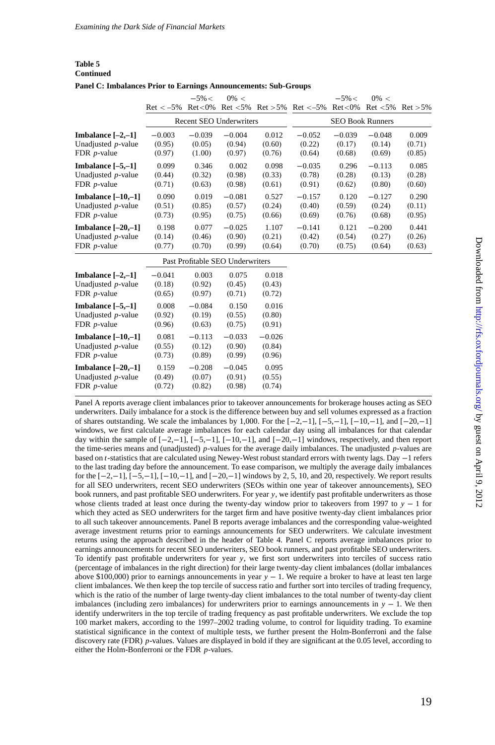**Table 5 Continued**

#### **Panel C: Imbalances Prior to Earnings Announcements: Sub-Groups**

|                                                                      |                              | $-5\% <$                                              | $0\% <$                          |                           |                              | $-5\% <$                     | $0\% <$                      |                           |
|----------------------------------------------------------------------|------------------------------|-------------------------------------------------------|----------------------------------|---------------------------|------------------------------|------------------------------|------------------------------|---------------------------|
|                                                                      | $Ret < -5\%$                 | $Ret < 0\%$                                           | $Ret < 5\%$                      |                           | $Ret > 5\%$ $Ret < -5\%$     | $Ret < 0\%$                  | $Ret < 5\%$                  | $Ret > 5\%$               |
|                                                                      |                              |                                                       | <b>Recent SEO Underwriters</b>   |                           |                              |                              | <b>SEO Book Runners</b>      |                           |
| Imbalance $[-2,-1]$<br>Unadjusted $p$ -value<br>FDR $p$ -value       | $-0.003$<br>(0.95)<br>(0.97) | $-0.039$<br>(0.05)<br>(1.00)                          | $-0.004$<br>(0.94)<br>(0.97)     | 0.012<br>(0.60)<br>(0.76) | $-0.052$<br>(0.22)<br>(0.64) | $-0.039$<br>(0.17)<br>(0.68) | $-0.048$<br>(0.14)<br>(0.69) | 0.009<br>(0.71)<br>(0.85) |
| Imbalance $[-5,-1]$<br>Unadjusted <i>p</i> -value<br>FDR $p$ -value  | 0.099<br>(0.44)<br>(0.71)    | 0.346<br>(0.32)<br>(0.63)                             | 0.002<br>(0.98)<br>(0.98)        | 0.098<br>(0.33)<br>(0.61) | $-0.035$<br>(0.78)<br>(0.91) | 0.296<br>(0.28)<br>(0.62)    | $-0.113$<br>(0.13)<br>(0.80) | 0.085<br>(0.28)<br>(0.60) |
| Imbalance $[-10,-1]$<br>Unadjusted <i>p</i> -value<br>FDR $p$ -value | 0.090<br>(0.51)<br>(0.73)    | 0.019<br>(0.85)<br>(0.95)                             | $-0.081$<br>(0.57)<br>(0.75)     | 0.527<br>(0.24)<br>(0.66) | $-0.157$<br>(0.40)<br>(0.69) | 0.120<br>(0.59)<br>(0.76)    | $-0.127$<br>(0.24)<br>(0.68) | 0.290<br>(0.11)<br>(0.95) |
| Imbalance $[-20,-1]$<br>Unadjusted <i>p</i> -value<br>FDR $p$ -value | 0.198<br>(0.14)<br>(0.77)    | 0.077<br>(0.46)<br>(0.70)                             | $-0.025$<br>(0.90)<br>(0.99)     | 1.107<br>(0.21)<br>(0.64) | $-0.141$<br>(0.42)<br>(0.70) | 0.121<br>(0.54)<br>(0.75)    | $-0.200$<br>(0.27)<br>(0.64) | 0.441<br>(0.26)<br>(0.63) |
|                                                                      |                              |                                                       | Past Profitable SEO Underwriters |                           |                              |                              |                              |                           |
| Imbalance $[-2,-1]$<br>Unadjusted <i>p</i> -value                    | $-0.041$<br>(0.18)<br>.      | 0.003<br>(0.92)<br>$\sim$ $\sim$ $\sim$ $\sim$ $\sim$ | 0.075<br>(0.45)                  | 0.018<br>(0.43)           |                              |                              |                              |                           |

| $Imbalance$ $ -2,-1 $      | $-0.041$ | 0.003    | 0.075    | 0.018    |  |
|----------------------------|----------|----------|----------|----------|--|
| Unadjusted <i>p</i> -value | (0.18)   | (0.92)   | (0.45)   | (0.43)   |  |
| FDR $p$ -value             | (0.65)   | (0.97)   | (0.71)   | (0.72)   |  |
| Imbalance $[-5,-1]$        | 0.008    | $-0.084$ | 0.150    | 0.016    |  |
| Unadjusted <i>p</i> -value | (0.92)   | (0.19)   | (0.55)   | (0.80)   |  |
| FDR $p$ -value             | (0.96)   | (0.63)   | (0.75)   | (0.91)   |  |
| Imbalance $[-10,-1]$       | 0.081    | $-0.113$ | $-0.033$ | $-0.026$ |  |
| Unadjusted $p$ -value      | (0.55)   | (0.12)   | (0.90)   | (0.84)   |  |
| FDR $p$ -value             | (0.73)   | (0.89)   | (0.99)   | (0.96)   |  |
| Imbalance $[-20,-1]$       | 0.159    | $-0.208$ | $-0.045$ | 0.095    |  |
| Unadjusted $p$ -value      | (0.49)   | (0.07)   | (0.91)   | (0.55)   |  |
| FDR $p$ -value             | (0.72)   | (0.82)   | (0.98)   | (0.74)   |  |
|                            |          |          |          |          |  |

Panel A reports average client imbalances prior to takeover announcements for brokerage houses acting as SEO underwriters. Daily imbalance for a stock is the difference between buy and sell volumes expressed as a fraction of shares outstanding. We scale the imbalances by 1,000. For the  $[-2,-1]$ ,  $[-5,-1]$ ,  $[-10,-1]$ , and  $[-20,-1]$ windows, we first calculate average imbalances for each calendar day using all imbalances for that calendar day within the sample of  $[-2,-1]$ ,  $[-5,-1]$ ,  $[-10,-1]$ , and  $[-20,-1]$  windows, respectively, and then report the time-series means and (unadjusted) *p*-values for the average daily imbalances. The unadjusted *p*-values are based on *t*-statistics that are calculated using Newey-West robust standard errors with twenty lags. Day −1 refers to the last trading day before the announcement. To ease comparison, we multiply the average daily imbalances for the  $[-2,-1], [-5,-1], [-10,-1],$  and  $[-20,-1]$  windows by 2, 5, 10, and 20, respectively. We report results for all SEO underwriters, recent SEO underwriters (SEOs within one year of takeover announcements), SEO book runners, and past profitable SEO underwriters. For year *y*, we identify past profitable underwriters as those whose clients traded at least once during the twenty-day window prior to takeovers from 1997 to *y* − 1 for which they acted as SEO underwriters for the target firm and have positive twenty-day client imbalances prior to all such takeover announcements. Panel B reports average imbalances and the corresponding value-weighted average investment returns prior to earnings announcements for SEO underwriters. We calculate investment returns using the approach described in the header of Table 4. Panel C reports average imbalances prior to earnings announcements for recent SEO underwriters, SEO book runners, and past profitable SEO underwriters. To identify past profitable underwriters for year *y*, we first sort underwriters into terciles of success ratio (percentage of imbalances in the right direction) for their large twenty-day client imbalances (dollar imbalances above \$100,000) prior to earnings announcements in year *y* − 1. We require a broker to have at least ten large client imbalances. We then keep the top tercile of success ratio and further sort into terciles of trading frequency, which is the ratio of the number of large twenty-day client imbalances to the total number of twenty-day client imbalances (including zero imbalances) for underwriters prior to earnings announcements in *y* − 1. We then identify underwriters in the top tercile of trading frequency as past profitable underwriters. We exclude the top 100 market makers, according to the 1997–2002 trading volume, to control for liquidity trading. To examine statistical significance in the context of multiple tests, we further present the Holm-Bonferroni and the false discovery rate (FDR) *p*-values. Values are displayed in bold if they are significant at the 0.05 level, according to either the Holm-Bonferroni or the FDR *p*-values.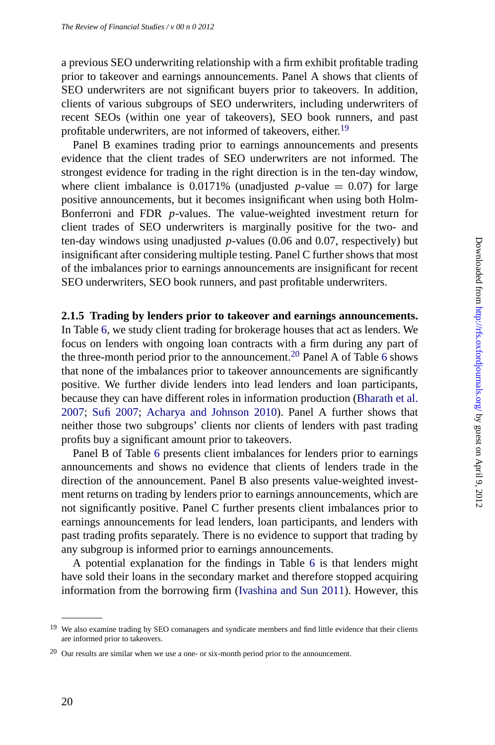a previous SEO underwriting relationship with a firm exhibit profitable trading prior to takeover and earnings announcements. Panel A shows that clients of SEO underwriters are not significant buyers prior to takeovers. In addition, clients of various subgroups of SEO underwriters, including underwriters of recent SEOs (within one year of takeovers), SEO book runners, and past profitable underwriters, are not informed of takeovers, either.<sup>19</sup>

Panel B examines trading prior to earnings announcements and presents evidenc[e t](#page-20-0)hat the client trades of SEO underwriters are not informed. The strongest evidence for trading in the right direction is in the ten-day window, where client imbalance is  $0.0171\%$  (unadjusted *p*-value = 0.07) f[or](#page-20-0) large positive announcements, but it becomes insignificant when using both Holm-Bonferroni and FDR *p*-values. The value-weighted investment return for client trades of SEO underwriters is marginally positive for [the two- and](#page-31-0) [ten-d](#page-31-0)a[y windows](#page-33-0) [using unadjusted](#page-31-0) *p*-val[ues \(0](#page-31-0).06 and 0.07, respectively) but insignificant after considering multiple testing. Panel C further shows that most of the imbalances prior to earnings announcements are insignificant for recent SEO underwriters, [SE](#page-20-0)O book runners, and past profitable underwriters.

# **2.1.5 Trading by lenders prior to takeover and earnings announcements.**

In Table 6, we study client trading for brokerage houses that act as lenders. We focus on lenders with ongoing loan contracts with a firm during any part of the three-month period prior to the announcement.<sup>20</sup> Panel A of Table 6 shows that none of the imbalances prior to takeover announcements are significantly positive. We further divide lenders into lead lenders and loan participants, because they can have different roles in information p[ro](#page-20-0)duction (Bharath et al. 2007; Sufi 2007; Acharya and Johnson 2010). Panel A further shows that neither those two subgroups' clients [nor clients of lenders w](#page-32-0)ith past trading profits buy a significant amount prior to takeovers.

Panel B of Table 6 presents client imbalances for lenders prior to earnings announcements and shows no evidence that clients of lenders trade in the direction of the announcement. Panel B also presents value-weighted investment returns on trading by lenders prior to earnings announcements, which are not significantly positive. Panel C further presents client imbalances prior to earnings announcements for lead lenders, loan participants, and lenders with past trading profits separately. There is no evidence to support that trading by any subgroup is informed prior to earnings announcements.

A potential explanation for the findings in Table 6 is that lenders might have sold their loans in the secondary market and therefore stopped acquiring information from the borrowing firm (Ivashina and Sun 2011). However, this

<sup>&</sup>lt;sup>19</sup> We also examine trading by SEO comanagers and syndicate members and find little evidence that their clients are informed prior to takeovers.

<sup>&</sup>lt;sup>20</sup> Our results are similar when we use a one- or six-month period prior to the announcement.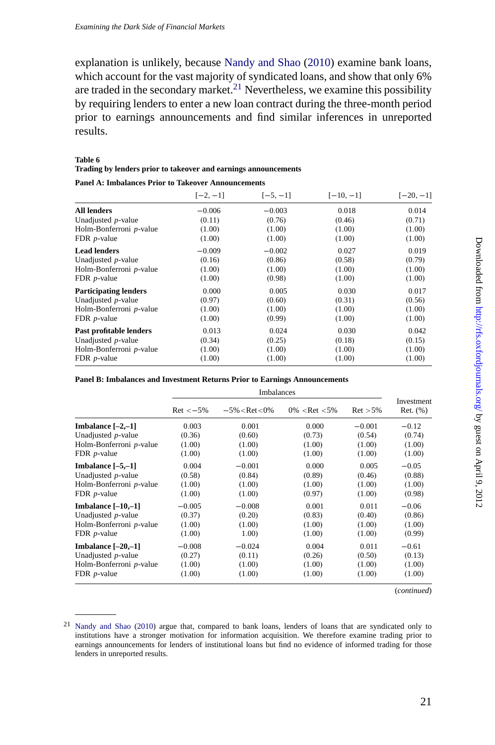<span id="page-20-0"></span>explanation is unlikely, because Nandy and Shao (2010) examine bank loans, which account for the vast majority of syndicated loans, and show that only 6% are traded in the secondary market.<sup>21</sup> Nevertheless, we examine this possibility by requiring lenders to enter a new loan contract during the three-month period prior to earnings announcements and find similar inferences in unreported results.

#### **Table 6**

# **Trading by lenders prior to takeover and earnings announcements**

**Panel A: Imbalances Prior to Takeover Announcements**

|                              | $[-2, -1]$ | $[-5, -1]$ | $[-10, -1]$ | $[-20, -1]$ |
|------------------------------|------------|------------|-------------|-------------|
| <b>All lenders</b>           | $-0.006$   | $-0.003$   | 0.018       | 0.014       |
| Unadjusted $p$ -value        | (0.11)     | (0.76)     | (0.46)      | (0.71)      |
| Holm-Bonferroni p-value      | (1.00)     | (1.00)     | (1.00)      | (1.00)      |
| FDR $p$ -value               | (1.00)     | (1.00)     | (1.00)      | (1.00)      |
| <b>Lead lenders</b>          | $-0.009$   | $-0.002$   | 0.027       | 0.019       |
| Unadjusted $p$ -value        | (0.16)     | (0.86)     | (0.58)      | (0.79)      |
| Holm-Bonferroni p-value      | (1.00)     | (1.00)     | (1.00)      | (1.00)      |
| FDR $p$ -value               | (1.00)     | (0.98)     | (1.00)      | (1.00)      |
| <b>Participating lenders</b> | 0.000      | 0.005      | 0.030       | 0.017       |
| Unadjusted $p$ -value        | (0.97)     | (0.60)     | (0.31)      | (0.56)      |
| Holm-Bonferroni p-value      | (1.00)     | (1.00)     | (1.00)      | (1.00)      |
| FDR $p$ -value               | (1.00)     | (0.99)     | (1.00)      | (1.00)      |
| Past profitable lenders      | 0.013      | 0.024      | 0.030       | 0.042       |
| Unadjusted $p$ -value        | (0.34)     | (0.25)     | (0.18)      | (0.15)      |
| Holm-Bonferroni p-value      | (1.00)     | (1.00)     | (1.00)      | (1.00)      |
| FDR $p$ -value               | (1.00)     | (1.00)     | (1.00)      | (1.00)      |

### **Panel B: Imbalances and Investment Returns Prior to Earnings Announcements**

|                            |              | <b>Imbalances</b>                                                                                                                                               |        |             |                             |  |  |
|----------------------------|--------------|-----------------------------------------------------------------------------------------------------------------------------------------------------------------|--------|-------------|-----------------------------|--|--|
|                            | $Ret < -5\%$ | $-5\% <$ Ret $<$ 0%<br>$0\%$ <ret <5%<="" th=""><th><math>Ret &gt; 5\%</math></th><th colspan="2">Investment<br/><math>Ret.</math> <math>(\%)</math></th></ret> |        | $Ret > 5\%$ | Investment<br>$Ret.$ $(\%)$ |  |  |
| Imbalance $[-2,-1]$        | 0.003        | 0.001                                                                                                                                                           | 0.000  | $-0.001$    | $-0.12$                     |  |  |
| Unadjusted <i>p</i> -value | (0.36)       | (0.60)                                                                                                                                                          | (0.73) | (0.54)      | (0.74)                      |  |  |
| Holm-Bonferroni p-value    | (1.00)       | (1.00)                                                                                                                                                          | (1.00) | (1.00)      | (1.00)                      |  |  |
| FDR $p$ -value             | (1.00)       | (1.00)                                                                                                                                                          | (1.00) | (1.00)      | (1.00)                      |  |  |
| Imbalance $[-5,-1]$        | 0.004        | $-0.001$                                                                                                                                                        | 0.000  | 0.005       | $-0.05$                     |  |  |
| Unadjusted <i>p</i> -value | (0.58)       | (0.84)                                                                                                                                                          | (0.89) | (0.46)      | (0.88)                      |  |  |
| Holm-Bonferroni p-value    | (1.00)       | (1.00)                                                                                                                                                          | (1.00) | (1.00)      | (1.00)                      |  |  |
| FDR $p$ -value             | (1.00)       | (1.00)                                                                                                                                                          | (0.97) | (1.00)      | (0.98)                      |  |  |
| Imbalance $[-10,-1]$       | $-0.005$     | $-0.008$                                                                                                                                                        | 0.001  | 0.011       | $-0.06$                     |  |  |
| Unadjusted <i>p</i> -value | (0.37)       | (0.20)                                                                                                                                                          | (0.83) | (0.40)      | (0.86)                      |  |  |
| Holm-Bonferroni p-value    | (1.00)       | (1.00)                                                                                                                                                          | (1.00) | (1.00)      | (1.00)                      |  |  |
| FDR $p$ -value             | (1.00)       | 1.00)                                                                                                                                                           | (1.00) | (1.00)      | (0.99)                      |  |  |
| Imbalance $[-20,-1]$       | $-0.008$     | $-0.024$                                                                                                                                                        | 0.004  | 0.011       | $-0.61$                     |  |  |
| Unadjusted <i>p</i> -value | (0.27)       | (0.11)                                                                                                                                                          | (0.26) | (0.50)      | (0.13)                      |  |  |
| Holm-Bonferroni p-value    | (1.00)       | (1.00)                                                                                                                                                          | (1.00) | (1.00)      | (1.00)                      |  |  |
| FDR $p$ -value             | (1.00)       | (1.00)                                                                                                                                                          | (1.00) | (1.00)      | (1.00)                      |  |  |

Downloaded from http://rfs.oxfordjournals.org/ by guest on April 9, 2012  $D$ ownloaded from http://rfs.oxfordjournals.org/ by guest on April 9, 2012

(*continued*)

<sup>21</sup> Nandy and Shao (2010) argue that, compared to bank loans, lenders of loans that are syndicated only to institutions have a stronger motivation for information acquisition. We therefore examine trading prior to earnings announcements for lenders of institutional loans but find no evidence of informed trading for those lenders in unreported results.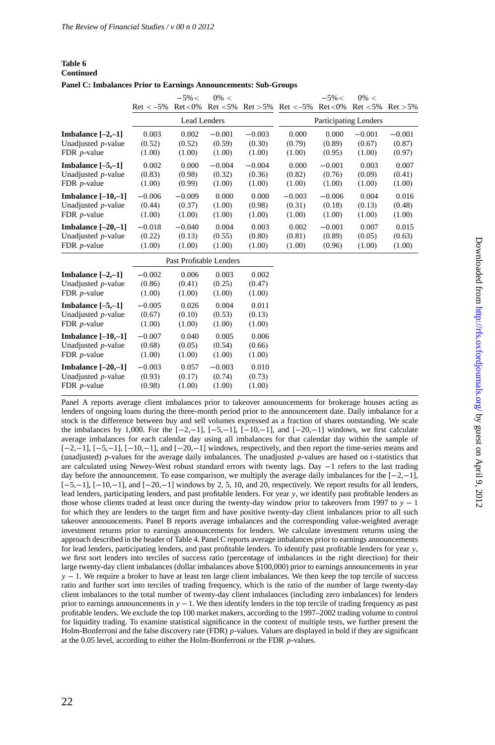**Table 6 Continued**

#### **Panel C: Imbalances Prior to Earnings Announcements: Sub-Groups**

|                            | $Ret < -5\%$ | $-5\% <$<br>$Ret < 0\%$ | $0\% <$<br>$Ret < 5\%$ | $Ret > 5\%$ | $Ret < -5\%$ | $-5\% <$<br>$Ret < 0\%$ | $0\% <$<br>$Ret < 5\%$ | $Ret > 5\%$ |
|----------------------------|--------------|-------------------------|------------------------|-------------|--------------|-------------------------|------------------------|-------------|
|                            |              | Lead Lenders            |                        |             |              |                         | Participating Lenders  |             |
| Imbalance $[-2,-1]$        | 0.003        | 0.002                   | $-0.001$               | $-0.003$    | 0.000        | 0.000                   | $-0.001$               | $-0.001$    |
| Unadjusted $p$ -value      | (0.52)       | (0.52)                  | (0.59)                 | (0.30)      | (0.79)       | (0.89)                  | (0.67)                 | (0.87)      |
| FDR $p$ -value             | (1.00)       | (1.00)                  | (1.00)                 | (1.00)      | (1.00)       | (0.95)                  | (1.00)                 | (0.97)      |
| Imbalance $[-5,-1]$        | 0.002        | 0.000                   | $-0.004$               | $-0.004$    | 0.000        | $-0.001$                | 0.003                  | 0.007       |
| Unadjusted <i>p</i> -value | (0.83)       | (0.98)                  | (0.32)                 | (0.36)      | (0.82)       | (0.76)                  | (0.09)                 | (0.41)      |
| FDR $p$ -value             | (1.00)       | (0.99)                  | (1.00)                 | (1.00)      | (1.00)       | (1.00)                  | (1.00)                 | (1.00)      |
| Imbalance $[-10,-1]$       | $-0.006$     | $-0.009$                | 0.000                  | 0.000       | $-0.003$     | $-0.006$                | 0.004                  | 0.016       |
| Unadjusted <i>p</i> -value | (0.44)       | (0.37)                  | (1.00)                 | (0.98)      | (0.31)       | (0.18)                  | (0.13)                 | (0.48)      |
| FDR $p$ -value             | (1.00)       | (1.00)                  | (1.00)                 | (1.00)      | (1.00)       | (1.00)                  | (1.00)                 | (1.00)      |
| Imbalance $[-20,-1]$       | $-0.018$     | $-0.040$                | 0.004                  | 0.003       | 0.002        | $-0.001$                | 0.007                  | 0.015       |
| Unadjusted <i>p</i> -value | (0.22)       | (0.13)                  | (0.55)                 | (0.80)      | (0.81)       | (0.89)                  | (0.05)                 | (0.63)      |
| FDR $p$ -value             | (1.00)       | (1.00)                  | (1.00)                 | (1.00)      | (1.00)       | (0.96)                  | (1.00)                 | (1.00)      |

|                            | Past Profitable Lenders |        |          |        |  |  |  |  |
|----------------------------|-------------------------|--------|----------|--------|--|--|--|--|
| Imbalance $[-2,-1]$        | $-0.002$                | 0.006  | 0.003    | 0.002  |  |  |  |  |
| Unadjusted $p$ -value      | (0.86)                  | (0.41) | (0.25)   | (0.47) |  |  |  |  |
| FDR <i>p</i> -value        | (1.00)                  | (1.00) | (1.00)   | (1.00) |  |  |  |  |
| Imbalance $[-5,-1]$        | $-0.005$                | 0.026  | 0.004    | 0.011  |  |  |  |  |
| Unadjusted $p$ -value      | (0.67)                  | (0.10) | (0.53)   | (0.13) |  |  |  |  |
| FDR $p$ -value             | (1.00)                  | (1.00) | (1.00)   | (1.00) |  |  |  |  |
| Imbalance $[-10,-1]$       | $-0.007$                | 0.040  | 0.005    | 0.006  |  |  |  |  |
| Unadjusted $p$ -value      | (0.68)                  | (0.05) | (0.54)   | (0.66) |  |  |  |  |
| FDR <i>p</i> -value        | (1.00)                  | (1.00) | (1.00)   | (1.00) |  |  |  |  |
| Imbalance $[-20,-1]$       | $-0.003$                | 0.057  | $-0.003$ | 0.010  |  |  |  |  |
| Unadjusted <i>p</i> -value | (0.93)                  | (0.17) | (0.74)   | (0.73) |  |  |  |  |
| FDR $p$ -value             | (0.98)                  | (1.00) | (1.00)   | (1.00) |  |  |  |  |

Panel A reports average client imbalances prior to takeover announcements for brokerage houses acting as lenders of ongoing loans during the three-month period prior to the announcement date. Daily imbalance for a stock is the difference between buy and sell volumes expressed as a fraction of shares outstanding. We scale the imbalances by 1,000. For the  $[-2,-1]$ ,  $[-5,-1]$ ,  $[-10,-1]$ , and  $[-20,-1]$  windows, we first calculate average imbalances for each calendar day using all imbalances for that calendar day within the sample of  $[-2,-1]$ ,  $[-5,-1]$ ,  $[-10,-1]$ , and  $[-20,-1]$  windows, respectively, and then report the time-series means and (unadjusted) *p*-values for the average daily imbalances. The unadjusted *p*-values are based on *t*-statistics that are calculated using Newey-West robust standard errors with twenty lags. Day −1 refers to the last trading day before the announcement. To ease comparison, we multiply the average daily imbalances for the [−2,−1],  $[-5,-1]$ ,  $[-10,-1]$ , and  $[-20,-1]$  windows by 2, 5, 10, and 20, respectively. We report results for all lenders, lead lenders, participating lenders, and past profitable lenders. For year *y*, we identify past profitable lenders as those whose clients traded at least once during the twenty-day window prior to takeovers from 1997 to  $y - 1$ for which they are lenders to the target firm and have positive twenty-day client imbalances prior to all such takeover announcements. Panel B reports average imbalances and the corresponding value-weighted average investment returns prior to earnings announcements for lenders. We calculate investment returns using the approach described in the header of Table 4. Panel C reports average imbalances prior to earnings announcements for lead lenders, participating lenders, and past profitable lenders. To identify past profitable lenders for year *y*, we first sort lenders into terciles of success ratio (percentage of imbalances in the right direction) for their large twenty-day client imbalances (dollar imbalances above \$100,000) prior to earnings announcements in year *y* − 1. We require a broker to have at least ten large client imbalances. We then keep the top tercile of success ratio and further sort into terciles of trading frequency, which is the ratio of the number of large twenty-day client imbalances to the total number of twenty-day client imbalances (including zero imbalances) for lenders prior to earnings announcements in *y* − 1. We then identify lenders in the top tercile of trading frequency as past profitable lenders. We exclude the top 100 market makers, according to the 1997–2002 trading volume to control for liquidity trading. To examine statistical significance in the context of multiple tests, we further present the Holm-Bonferroni and the false discovery rate (FDR) *p*-values. Values are displayed in bold if they are significant at the 0.05 level, according to either the Holm-Bonferroni or the FDR *p*-values.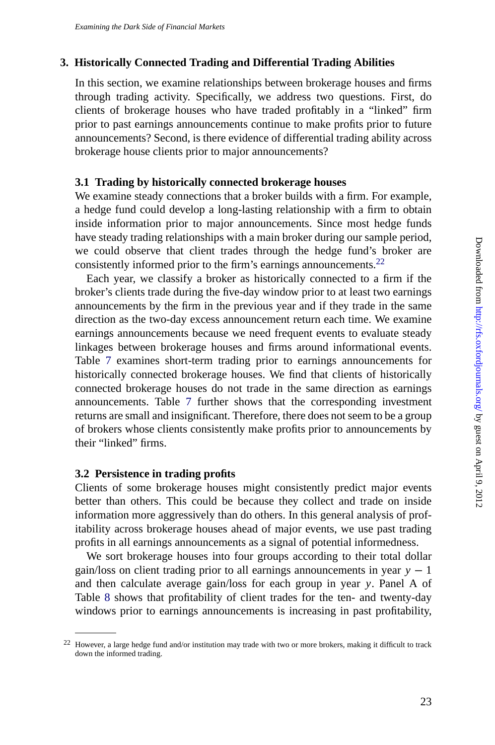# **3. Historically Connected Trading and Differential Trading Abilities**

In this section, we examine relationships between brokerage houses and firms through trading activity. Specifically, we address two questions. First, do clients of brokerage houses who have traded profitably in a "linked" firm prior to past earnings announcements continue to make profits prior to future announcements? Second, is there evidence of differential trading ability across brokerage house clients prior to major announcements?

# **3.1 Trading by historically connected brokerage houses**

We ex[am](#page-23-0)ine steady connections that a broker builds with a firm. For example, a hedge fund could develop a long-lasting relationship with a firm to obtain inside information prior to major announcements. Since most hedge funds have steady trading relat[io](#page-23-0)nships with a main broker during our sample period, we could observe that client trades through the hedge fund's broker are consistently informed prior to the firm's earnings announcements.<sup>22</sup>

Each year, we classify a broker as historically connected to a firm if the broker's clients trade during the five-day window prior to at least two earnings announcements by the firm in the previous year and if they trade in the same direction as the two-day excess announcement return each time. We examine earnings announcements because we need frequent events to evaluate steady linkages between brokerage houses and firms around informational events. Table 7 examines short-term trading prior to earnings announcements for historically connected brokerage houses. We find that clients of historically connected brokerage houses do not trade in the same direction as earnings announcements. Table 7 further shows that the corresponding investment returns are small and insignificant. Therefore, there does not seem to be a group of bro[ke](#page-24-0)rs whose clients consistently make profits prior to announcements by their "linked" firms.

# **3.2 Persistence in trading profits**

Clients of some brokerage houses might consistently predict major events better than others. This could be because they collect and trade on inside information more aggressively than do others. In this general analysis of profitability across brokerage houses ahead of major events, we use past trading profits in all earnings announcements as a signal of potential informedness.

We sort brokerage houses into four groups according to their total dollar gain/loss on client trading prior to all earnings announcements in year  $y - 1$ and then calculate average gain/loss for each group in year *y*. Panel A of Table 8 shows that profitability of client trades for the ten- and twenty-day windows prior to earnings announcements is increasing in past profitability,

<sup>22</sup> However, a large hedge fund and/or institution may trade with two or more brokers, making it difficult to track down the informed trading.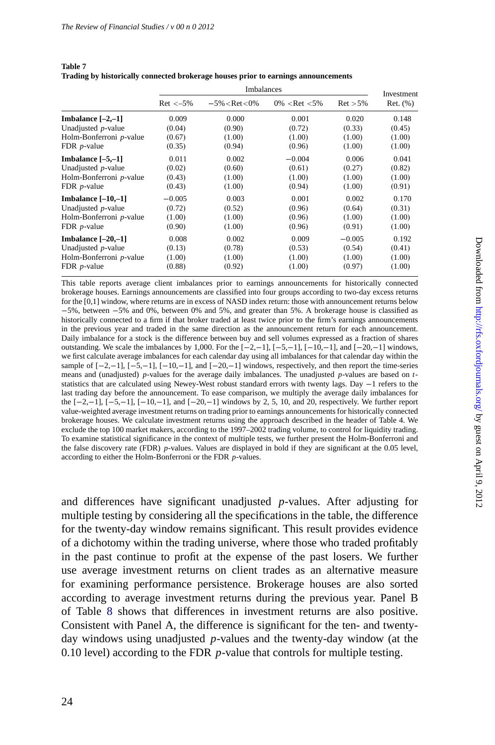<span id="page-23-0"></span>**Table 7 Trading by historically connected brokerage houses prior to earnings announcements**

|                            |              | Investment          |                                                                                    |             |          |
|----------------------------|--------------|---------------------|------------------------------------------------------------------------------------|-------------|----------|
|                            | $Ret < -5\%$ | $-5\% <$ Ret $<$ 0% | $0\%$ <ret <5%<="" th=""><th><math>Ret &gt; 5\%</math></th><th>Ret. (%)</th></ret> | $Ret > 5\%$ | Ret. (%) |
| Imbalance $[-2,-1]$        | 0.009        | 0.000               | 0.001                                                                              | 0.020       | 0.148    |
| Unadjusted $p$ -value      | (0.04)       | (0.90)              | (0.72)                                                                             | (0.33)      | (0.45)   |
| Holm-Bonferroni p-value    | (0.67)       | (1.00)              | (1.00)                                                                             | (1.00)      | (1.00)   |
| FDR $p$ -value             | (0.35)       | (0.94)              | (0.96)                                                                             | (1.00)      | (1.00)   |
| Imbalance $[-5,-1]$        | 0.011        | 0.002               | $-0.004$                                                                           | 0.006       | 0.041    |
| Unadjusted $p$ -value      | (0.02)       | (0.60)              | (0.61)                                                                             | (0.27)      | (0.82)   |
| Holm-Bonferroni p-value    | (0.43)       | (1.00)              | (1.00)                                                                             | (1.00)      | (1.00)   |
| FDR $p$ -value             | (0.43)       | (1.00)              | (0.94)                                                                             | (1.00)      | (0.91)   |
| Imbalance $[-10,-1]$       | $-0.005$     | 0.003               | 0.001                                                                              | 0.002       | 0.170    |
| Unadjusted <i>p</i> -value | (0.72)       | (0.52)              | (0.96)                                                                             | (0.64)      | (0.31)   |
| Holm-Bonferroni p-value    | (1.00)       | (1.00)              | (0.96)                                                                             | (1.00)      | (1.00)   |
| FDR $p$ -value             | (0.90)       | (1.00)              | (0.96)                                                                             | (0.91)      | (1.00)   |
| Imbalance $[-20,-1]$       | 0.008        | 0.002               | 0.009                                                                              | $-0.005$    | 0.192    |
| Unadjusted <i>p</i> -value | (0.13)       | (0.78)              | (0.53)                                                                             | (0.54)      | (0.41)   |
| Holm-Bonferroni p-value    | (1.00)       | (1.00)              | (1.00)                                                                             | (1.00)      | (1.00)   |
| FDR $p$ -value             | (0.88)       | (0.92)              | (1.00)                                                                             | (0.97)      | (1.00)   |

This table reports average client imbalances prior to earnings announcements for historically connected brokerage houses. Earnings announcements are classified into four groups according to two-day excess returns for the [0,1] window, where returns are in excess of NASD index return: those with announcement returns below −5%, between −5% and 0%, between 0% and 5%, and greater than 5%. A brokerage house is classified as historically connected to a firm if that broker traded at least twice prior to the firm's earnings announcements in the previous year and traded in the same direction as the announcement return for each announcement. Daily imbalance for a stock is the difference between buy and sell volumes expressed as a fraction of shares outstanding. We scale the imbalances by 1,000. For the  $[-2,-1]$ ,  $[-5,-1]$ ,  $[-10,-1]$ , and  $[-20,-1]$  windows, we first calculate average imbalances for each calendar day using all imbalances for that calendar day within the sample of  $[-2,-1]$ ,  $[-5,-1]$ ,  $[-10,-1]$ , and  $[-20,-1]$  windows, respectively, and then report the time-series means and (unadjusted) *p*-values for the average daily imbalances. The unadjusted *p*-values are based on *t*statistics that are calculated using Newey-West robust standard errors with twenty lags. Day −1 refers to the last trading day before the announcement. To ease comparison, we multiply the average daily imbalances for the [−2,−1], [−5,−1], [−10,−1], and [−20,−1] windows by 2, 5, 10, and 20, respectively. We further report value-weighted average investment returns on trading prior to earnings announcements for historically connected brokerage houses. We calculate investment returns using the approach described in the header of Table 4. We exclude the top 100 market makers, according to the 1997–2002 trading volume, to control for liquidity trading. To examine statistical significance in the context of multiple tests, we further present the Holm-Bonferroni and the false disc[ove](#page-24-0)ry rate (FDR) *p*-values. Values are displayed in bold if they are significant at the 0.05 level, according to either the Holm-Bonferroni or the FDR *p*-values.

and differences have significant unadjusted *p*-values. After adjusting for multiple testing by considering all the specifications in the table, the difference for the twenty-day window remains significant. This result provides evidence of a dichotomy within the trading universe, where those who traded profitably in the past continue to profit at the expense of the past losers. We further use average investment returns on client trades as an alternative measure for examining performance persistence. Brokerage houses are also sorted according to average investment returns during the previous year. Panel B of Table 8 shows that differences in investment returns are also positive. Consistent with Panel A, the difference is significant for the ten- and twentyday windows using unadjusted *p*-values and the twenty-day window (at the 0.10 level) according to the FDR *p*-value that controls for multiple testing.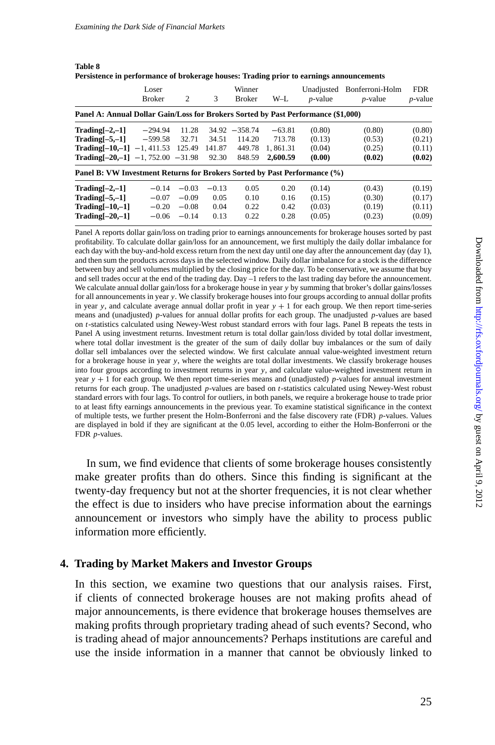<span id="page-24-0"></span>**Table 8 Persistence in performance of brokerage houses: Trading prior to earnings announcements**

|                                                                                   | Loser<br><b>Broker</b> | 2       | 3       | Winner<br><b>Broker</b> | $W-I$ .  | Unadiusted<br>$p$ -value | Bonferroni-Holm<br>$p$ -value | <b>FDR</b><br>$p$ -value |
|-----------------------------------------------------------------------------------|------------------------|---------|---------|-------------------------|----------|--------------------------|-------------------------------|--------------------------|
| Panel A: Annual Dollar Gain/Loss for Brokers Sorted by Past Performance (\$1,000) |                        |         |         |                         |          |                          |                               |                          |
| $\text{Trading}[-2,-1]$                                                           | $-294.94$              | 11.28   | 34.92   | $-358.74$               | $-63.81$ | (0.80)                   | (0.80)                        | (0.80)                   |
| $\mathrm{Trading}[-5,-1]$                                                         | $-599.58$              | 32.71   | 34.51   | 114.20                  | 713.78   | (0.13)                   | (0.53)                        | (0.21)                   |
| $\text{Trading}[-10,-1] \ -1, 411.53$                                             |                        | 125.49  | 141.87  | 449.78                  | 1.861.31 | (0.04)                   | (0.25)                        | (0.11)                   |
| $\text{Trading}[-20,-11 -1.752.00 -31.98]$                                        |                        |         | 92.30   | 848.59                  | 2,600.59 | (0.00)                   | (0.02)                        | (0.02)                   |
| Panel B: VW Investment Returns for Brokers Sorted by Past Performance (%)         |                        |         |         |                         |          |                          |                               |                          |
| $\text{Trading}[-2,-1]$                                                           | $-0.14$                | $-0.03$ | $-0.13$ | 0.05                    | 0.20     | (0.14)                   | (0.43)                        | (0.19)                   |
| $\text{Trading}[-5,-1]$                                                           | $-0.07$                | $-0.09$ | 0.05    | 0.10                    | 0.16     | (0.15)                   | (0.30)                        | (0.17)                   |
| $\mathrm{Trading}[-10,-1]$                                                        | $-0.20$                | $-0.08$ | 0.04    | 0.22                    | 0.42     | (0.03)                   | (0.19)                        | (0.11)                   |
| $\mathrm{Trading}[-20,-1]$                                                        | $-0.06$                | $-0.14$ | 0.13    | 0.22                    | 0.28     | (0.05)                   | (0.23)                        | (0.09)                   |
|                                                                                   |                        |         |         |                         |          |                          |                               |                          |

Panel A reports dollar gain/loss on trading prior to earnings announcements for brokerage houses sorted by past profitability. To calculate dollar gain/loss for an announcement, we first multiply the daily dollar imbalance for each day with the buy-and-hold excess return from the next day until one day after the announcement day (day 1), and then sum the products across days in the selected window. Daily dollar imbalance for a stock is the difference between buy and sell volumes multiplied by the closing price for the day. To be conservative, we assume that buy and sell trades occur at the end of the trading day. Day –1 refers to the last trading day before the announcement. We calculate annual dollar gain/loss for a brokerage house in year *y* by summing that broker's dollar gains/losses for all announcements in year *y*. We classify brokerage houses into four groups according to annual dollar profits in year *y*, and calculate average annual dollar profit in year  $y + 1$  for each group. We then report time-series means and (unadjusted) *p*-values for annual dollar profits for each group. The unadjusted *p*-values are based on *t*-statistics calculated using Newey-West robust standard errors with four lags. Panel B repeats the tests in Panel A using investment returns. Investment return is total dollar gain/loss divided by total dollar investment, where total dollar investment is the greater of the sum of daily dollar buy imbalances or the sum of daily dollar sell imbalances over the selected window. We first calculate annual value-weighted investment return for a brokerage house in year *y*, where the weights are total dollar investments. We classify brokerage houses into four groups according to investment returns in year *y*, and calculate value-weighted investment return in year *y* + 1 for each group. We then report time-series means and (unadjusted) *p*-values for annual investment returns for each group. The unadjusted *p*-values are based on *t*-statistics calculated using Newey-West robust standard errors with four lags. To control for outliers, in both panels, we require a brokerage house to trade prior to at least fifty earnings announcements in the previous year. To examine statistical significance in the context of multiple tests, we further present the Holm-Bonferroni and the false discovery rate (FDR) *p*-values. Values are displayed in bold if they are significant at the 0.05 level, according to either the Holm-Bonferroni or the FDR *p*-values.

In sum, we find evidence that clients of some brokerage houses consistently make greater profits than do others. Since this finding is significant at the twenty-day frequency but not at the shorter frequencies, it is not clear whether the effect is due to insiders who have precise information about the earnings announcement or investors who simply have the ability to process public information more efficiently.

# **4. Trading by Market Makers and Investor Groups**

In this section, we examine two questions that our analysis raises. First, if clients of connected brokerage houses are not making profits ahead of major announcements, is there evidence that brokerage houses themselves are making profits through proprietary trading ahead of such events? Second, who is trading ahead of major announcements? Perhaps institutions are careful and use the inside information in a manner that cannot be obviously linked to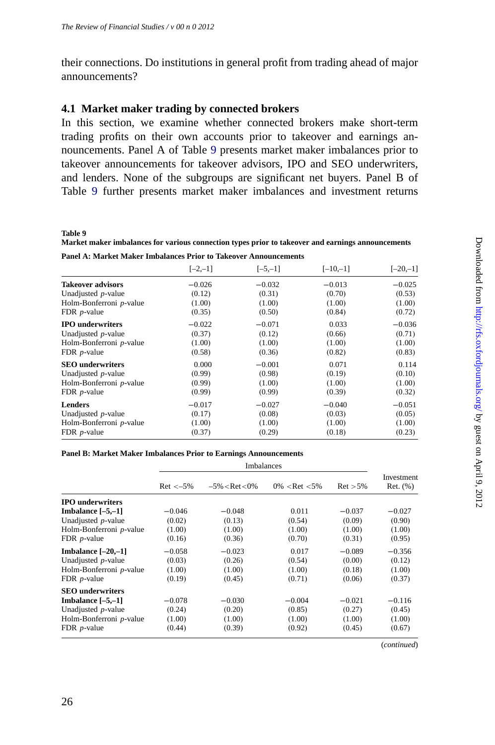their connections. Do institutions in general profit from trading ahead of major announcements?

# **4.1 Market maker trading by connected brokers**

In this section, we examine whether connected brokers make short-term trading profits on their own accounts prior to takeover and earnings announcements. Panel A of Table 9 presents market maker imbalances prior to takeover announcements for takeover advisors, IPO and SEO underwriters, and lenders. None of the subgroups are significant net buyers. Panel B of Table 9 further presents market maker imbalances and investment returns

**Table 9**

**Market maker imbalances for various connection types prior to takeover and earnings announcements Panel A: Market Maker Imbalances Prior to Takeover Announcements**

|                          | $[-2,-1]$ | $[-5,-1]$ | $[-10,-1]$ | $[-20,-1]$ |
|--------------------------|-----------|-----------|------------|------------|
| <b>Takeover advisors</b> | $-0.026$  | $-0.032$  | $-0.013$   | $-0.025$   |
| Unadjusted $p$ -value    | (0.12)    | (0.31)    | (0.70)     | (0.53)     |
| Holm-Bonferroni p-value  | (1.00)    | (1.00)    | (1.00)     | (1.00)     |
| FDR $p$ -value           | (0.35)    | (0.50)    | (0.84)     | (0.72)     |
| <b>IPO</b> underwriters  | $-0.022$  | $-0.071$  | 0.033      | $-0.036$   |
| Unadjusted $p$ -value    | (0.37)    | (0.12)    | (0.66)     | (0.71)     |
| Holm-Bonferroni p-value  | (1.00)    | (1.00)    | (1.00)     | (1.00)     |
| FDR $p$ -value           | (0.58)    | (0.36)    | (0.82)     | (0.83)     |
| <b>SEO</b> underwriters  | 0.000     | $-0.001$  | 0.071      | 0.114      |
| Unadjusted $p$ -value    | (0.99)    | (0.98)    | (0.19)     | (0.10)     |
| Holm-Bonferroni p-value  | (0.99)    | (1.00)    | (1.00)     | (1.00)     |
| FDR $p$ -value           | (0.99)    | (0.99)    | (0.39)     | (0.32)     |
| Lenders                  | $-0.017$  | $-0.027$  | $-0.040$   | $-0.051$   |
| Unadjusted $p$ -value    | (0.17)    | (0.08)    | (0.03)     | (0.05)     |
| Holm-Bonferroni p-value  | (1.00)    | (1.00)    | (1.00)     | (1.00)     |
| FDR $p$ -value           | (0.37)    | (0.29)    | (0.18)     | (0.23)     |

# **Panel B: Market Maker Imbalances Prior to Earnings Announcements**

| $Ret < -5\%$ | $-5\% <$ Ret $<$ 0% | $0\%$ <ret <5%<="" th=""><th><math>Ret &gt; 5\%</math></th><th>Investment<br/><math>Ret.</math> <math>(\%)</math></th></ret> | $Ret > 5\%$       | Investment<br>$Ret.$ $(\%)$ |
|--------------|---------------------|------------------------------------------------------------------------------------------------------------------------------|-------------------|-----------------------------|
|              |                     |                                                                                                                              |                   |                             |
| $-0.046$     | $-0.048$            | 0.011                                                                                                                        | $-0.037$          | $-0.027$                    |
| (0.02)       | (0.13)              | (0.54)                                                                                                                       | (0.09)            | (0.90)                      |
| (1.00)       | (1.00)              | (1.00)                                                                                                                       | (1.00)            | (1.00)                      |
| (0.16)       | (0.36)              | (0.70)                                                                                                                       | (0.31)            | (0.95)                      |
| $-0.058$     | $-0.023$            | 0.017                                                                                                                        | $-0.089$          | $-0.356$                    |
| (0.03)       | (0.26)              | (0.54)                                                                                                                       | (0.00)            | (0.12)                      |
| (1.00)       | (1.00)              | (1.00)                                                                                                                       | (0.18)            | (1.00)                      |
| (0.19)       | (0.45)              | (0.71)                                                                                                                       | (0.06)            | (0.37)                      |
|              |                     |                                                                                                                              |                   |                             |
| $-0.078$     | $-0.030$            | $-0.004$                                                                                                                     | $-0.021$          | $-0.116$                    |
| (0.24)       | (0.20)              | (0.85)                                                                                                                       | (0.27)            | (0.45)                      |
| (1.00)       | (1.00)              | (1.00)                                                                                                                       | (1.00)            | (1.00)                      |
| (0.44)       | (0.39)              | (0.92)                                                                                                                       | (0.45)            | (0.67)                      |
|              |                     |                                                                                                                              | <b>Imbalances</b> |                             |

(*continued*)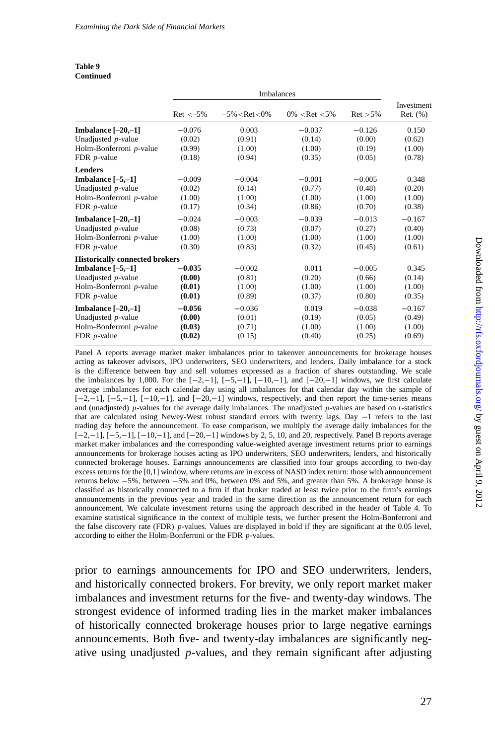#### <span id="page-26-0"></span>**Table 9 Continued**

|                                       |              | <b>Imbalances</b>   |                                                                                                   |             |                        |
|---------------------------------------|--------------|---------------------|---------------------------------------------------------------------------------------------------|-------------|------------------------|
|                                       | $Ret < -5\%$ | $-5\% <$ Ret $<$ 0% | $0\%$ <ret <5%<="" th=""><th><math>Ret &gt; 5\%</math></th><th>Investment<br/>Ret. (%)</th></ret> | $Ret > 5\%$ | Investment<br>Ret. (%) |
| Imbalance $[-20,-1]$                  | $-0.076$     | 0.003               | $-0.037$                                                                                          | $-0.126$    | 0.150                  |
| Unadjusted $p$ -value                 | (0.02)       | (0.91)              | (0.14)                                                                                            | (0.00)      | (0.62)                 |
| Holm-Bonferroni p-value               | (0.99)       | (1.00)              | (1.00)                                                                                            | (0.19)      | (1.00)                 |
| FDR $p$ -value                        | (0.18)       | (0.94)              | (0.35)                                                                                            | (0.05)      | (0.78)                 |
| <b>Lenders</b>                        |              |                     |                                                                                                   |             |                        |
| Imbalance $[-5,-1]$                   | $-0.009$     | $-0.004$            | $-0.001$                                                                                          | $-0.005$    | 0.348                  |
| Unadjusted $p$ -value                 | (0.02)       | (0.14)              | (0.77)                                                                                            | (0.48)      | (0.20)                 |
| Holm-Bonferroni p-value               | (1.00)       | (1.00)              | (1.00)                                                                                            | (1.00)      | (1.00)                 |
| FDR $p$ -value                        | (0.17)       | (0.34)              | (0.86)                                                                                            | (0.70)      | (0.38)                 |
| Imbalance $[-20,-1]$                  | $-0.024$     | $-0.003$            | $-0.039$                                                                                          | $-0.013$    | $-0.167$               |
| Unadjusted $p$ -value                 | (0.08)       | (0.73)              | (0.07)                                                                                            | (0.27)      | (0.40)                 |
| Holm-Bonferroni p-value               | (1.00)       | (1.00)              | (1.00)                                                                                            | (1.00)      | (1.00)                 |
| FDR $p$ -value                        | (0.30)       | (0.83)              | (0.32)                                                                                            | (0.45)      | (0.61)                 |
| <b>Historically connected brokers</b> |              |                     |                                                                                                   |             |                        |
| Imbalance $[-5,-1]$                   | $-0.035$     | $-0.002$            | 0.011                                                                                             | $-0.005$    | 0.345                  |
| Unadjusted $p$ -value                 | (0.00)       | (0.81)              | (0.20)                                                                                            | (0.66)      | (0.14)                 |
| Holm-Bonferroni p-value               | (0.01)       | (1.00)              | (1.00)                                                                                            | (1.00)      | (1.00)                 |
| FDR $p$ -value                        | (0.01)       | (0.89)              | (0.37)                                                                                            | (0.80)      | (0.35)                 |
| Imbalance $[-20,-1]$                  | $-0.056$     | $-0.036$            | 0.019                                                                                             | $-0.038$    | $-0.167$               |
| Unadjusted $p$ -value                 | (0.00)       | (0.01)              | (0.19)                                                                                            | (0.05)      | (0.49)                 |
| Holm-Bonferroni p-value               | (0.03)       | (0.71)              | (1.00)                                                                                            | (1.00)      | (1.00)                 |
| FDR $p$ -value                        | (0.02)       | (0.15)              | (0.40)                                                                                            | (0.25)      | (0.69)                 |

Panel A reports average market maker imbalances prior to takeover announcements for brokerage houses acting as takeover advisors, IPO underwriters, SEO underwriters, and lenders. Daily imbalance for a stock is the difference between buy and sell volumes expressed as a fraction of shares outstanding. We scale the imbalances by 1,000. For the  $[-2,-1]$ ,  $[-5,-1]$ ,  $[-10,-1]$ , and  $[-20,-1]$  windows, we first calculate average imbalances for each calendar day using all imbalances for that calendar day within the sample of [-2,-1], [-5,-1], [-10,-1], and [-20,-1] windows, respectively, and then report the time-series means and (unadjusted) *p*-values for the average daily imbalances. The unadjusted *p*-values are based on *t*-statistics that are calculated using Newey-West robust standard errors with twenty lags. Day −1 refers to the last trading day before the announcement. To ease comparison, we multiply the average daily imbalances for the [−2,−1], [−5,−1], [−10,−1], and [−20,−1] windows by 2, 5, 10, and 20, respectively. Panel B reports average market maker imbalances and the corresponding value-weighted average investment returns prior to earnings announcements for brokerage houses acting as IPO underwriters, SEO underwriters, lenders, and historically connected brokerage houses. Earnings announcements are classified into four groups according to two-day excess returns for the [0,1] window, where returns are in excess of NASD index return: those with announcement returns below −5%, between −5% and 0%, between 0% and 5%, and greater than 5%. A brokerage house is classified as historically connected to a firm if that broker traded at least twice prior to the firm's earnings announcements in the previous year and traded in the same direction as the announcement return for each announcement. We calculate investment returns using the approach described in the header of Table 4. To examine statistical significance in the context of multiple tests, we further present the Holm-Bonferroni and the false discovery rate (FDR) *p*-values. Values are displayed in bold if they are significant at the 0.05 level, according to either the Holm-Bonferroni or the FDR *p*-values.

prior to earnings announcements for IPO and SEO underwriters, lenders, and historically connected brokers. For brevity, we only report market maker imbalances and investment returns for the five- and twenty-day windows. The strongest evidence of informed trading lies in the market maker imbalances of historically connected brokerage houses prior to large negative earnings announcements. Both five- and twenty-day imbalances are significantly negative using unadjusted *p*-values, and they remain significant after adjusting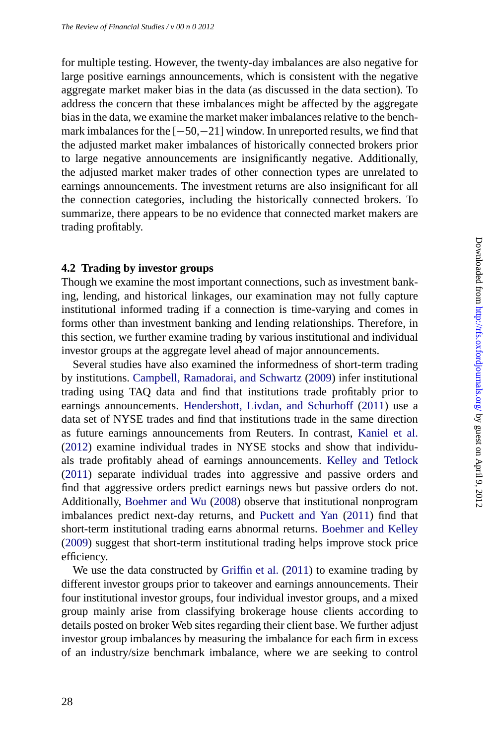for multiple testing. However, the twenty-day imbalances are also negative for large positive earnings announcements, which is consistent with the negative aggregate market maker bias in the data (as discussed in the data section). To address the concern that these imbalances might be affected by the aggregate bias in the data, we examine the market maker imbalances relative to the benchmark imbalances for the [−50,−21] window. In unreported results, we find that the adjusted market maker imbalances of historically connected brokers prior to large negative announcements are insignificantly negative. Additionally, the adjusted market maker trades of other connection types are unrelated to earnings announcements. The investment returns are also insignificant for all the connection categories, including the historically connected brokers. To summarize, the[re appears to be no evidence that connected](#page-32-0) market makers are trading profitably.

# **4.2 Trading by investor groups**

[Thoug](#page-33-0)h we examine the most important connections, such as investment banking, lending, and historical linkages, our examination m[ay not fully capture](#page-33-0) i[nstitu](#page-33-0)tional informed trading if a connection is time-varying and comes in forms other than investment banking and lending relationships. Therefore, in this section, [we further examine](#page-32-0) t[radin](#page-32-0)g by various institutional and individual investor groups at the aggregate level ahea[d of major announ](#page-33-0)c[ement](#page-33-0)s.

Several studies have also examined the informedness [of short-term trading](#page-32-0) [by ins](#page-32-0)titutions. Campbell, Ramadorai, and Schwartz (2009) infer institutional trading using TAQ data and find that institutions trade profitably prior to earnings announcements. Hender[shott, Livdan](#page-32-0), [and S](#page-32-0)churhoff (2011) use a data set of NYSE trades and find that institutions trade in the same direction as future earnings announcements from Reuters. In contrast, Kaniel et al. (2012) examine individual trades in NYSE stocks and show that individuals trade profitably ahead of earnings announcements. Kelley and Tetlock (2011) separate individual trades into aggressive and passive orders and find that aggressive orders predict earnings news but passive orders do not. Additionally, Boehmer and Wu (2008) observe that institutional nonprogram imbalances predict next-day returns, and Puckett and Yan (2011) find that short-term institutional trading earns abnormal returns. Boehmer and Kelley (2009) suggest that short-term institutional trading helps improve stock price efficiency.

We use the data constructed by Griffin et al. (2011) to examine trading by different investor groups prior to takeover and earnings announcements. Their four institutional investor groups, four individual investor groups, and a mixed group mainly arise from classifying brokerage house clients according to details posted on broker Web sites regarding their client base. We further adjust investor group imbalances by measuring the imbalance for each firm in excess of an industry/size benchmark imbalance, where we are seeking to control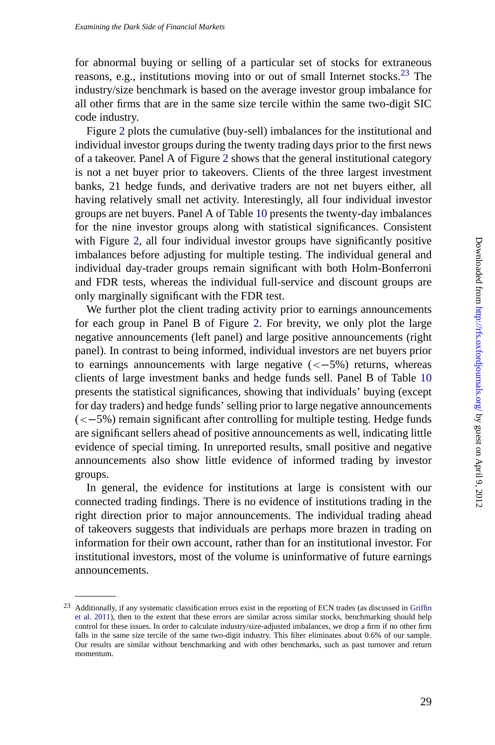for abnormal buying or selling of a particular set of stocks for extraneous reasons[,](#page-29-0) e.g., institutions moving into or out of small Internet stocks.<sup>23</sup> The industry/size benchmark is based on the average investor group imbalance for all other firms that are in the same size tercile within the same two-digit SIC code industry.

Figure 2 plots the cumulative (buy-sell) imbalances for the institutional and individual investor groups during the twenty trading days prior to the first news of a takeover. Panel A of Figure 2 sho[ws](#page-29-0) that the general institutional category is not a net buyer prior to takeovers. Clients of the three largest investment banks, 21 hedge funds, and derivative traders are not net buyers either, all having relatively small net activity. Interestingly, all four individual investor groups are net buyers. Panel A of Table 10 presents the twenty-day imbalan[ces](#page-30-0) for the nine investor groups along with statistical significances. Consistent with Figure 2, all four individual investor groups have significantly positive imbalances before adjusting for multiple testing. The individual general and individual day-trader groups remain significant with both Holm-Bonferroni and FDR tests, whereas the individual full-service and discount groups are only marginally significant with the FDR test.

We further plot the client trading activity prior to earnings announcements for each group in Panel B of Figure 2. For brevity, we only plot the large negative announcements (left panel) and large positive announcements (right panel). In contrast to being informed, individual investors are net buyers prior to earnings announcements with large negative  $(<-5\%)$  returns, whereas clients of large investment banks and hedge funds sell. Panel B of Table 10 presents the statistical significances, showing that individuals' buying (except for day traders) and hedge funds' selling prior to large negative announcements (<−5%) remain significant after controlling for multiple testing. Hedge funds are significant sellers ahead of positive announcements as well, indicating little [evidenc](#page-32-0)e of special timing. In unreported results, small positive and ne[gative](#page-32-0) announcements also show little evidence of informed trading by investor groups.

In general, the evidence for institutions at large is consistent with our connected trading findings. There is no evidence of institutions trading in the right direction prior to major announcements. The individual trading ahead of takeovers suggests that individuals are perhaps more brazen in trading on information for their own account, rather than for an institutional investor. For institutional investors, most of the volume is uninformative of future earnings announcements.

<sup>23</sup> Additionally, if any systematic classification errors exist in the reporting of ECN trades (as discussed in Griffin et al. 2011), then to the extent that these errors are similar across similar stocks, benchmarking should help control for these issues. In order to calculate industry/size-adjusted imbalances, we drop a firm if no other firm falls in the same size tercile of the same two-digit industry. This filter eliminates about 0.6% of our sample. Our results are similar without benchmarking and with other benchmarks, such as past turnover and return momentum.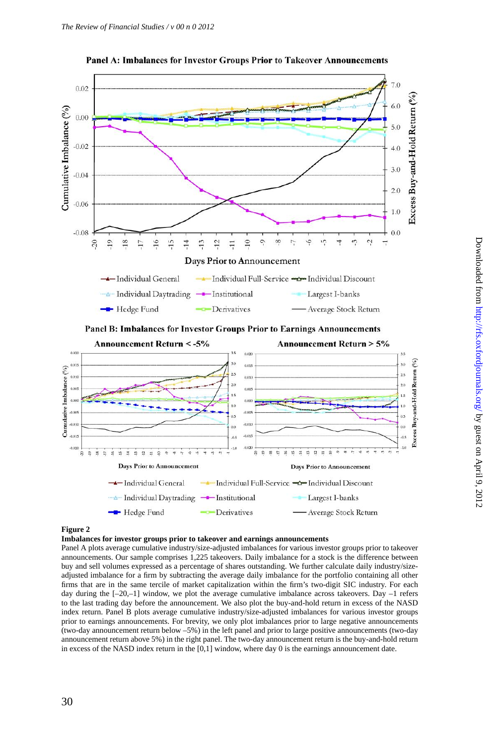<span id="page-29-0"></span>



### **Figure 2**

**Imbalances for investor groups prior to takeover and earnings announcements**

Panel A plots average cumulative industry/size-adjusted imbalances for various investor groups prior to takeover announcements. Our sample comprises 1,225 takeovers. Daily imbalance for a stock is the difference between buy and sell volumes expressed as a percentage of shares outstanding. We further calculate daily industry/sizeadjusted imbalance for a firm by subtracting the average daily imbalance for the portfolio containing all other firms that are in the same tercile of market capitalization within the firm's two-digit SIC industry. For each day during the  $[-20,-1]$  window, we plot the average cumulative imbalance across takeovers. Day -1 refers to the last trading day before the announcement. We also plot the buy-and-hold return in excess of the NASD index return. Panel B plots average cumulative industry/size-adjusted imbalances for various investor groups prior to earnings announcements. For brevity, we only plot imbalances prior to large negative announcements (two-day announcement return below –5%) in the left panel and prior to large positive announcements (two-day announcement return above 5%) in the right panel. The two-day announcement return is the buy-and-hold return in excess of the NASD index return in the [0,1] window, where day 0 is the earnings announcement date.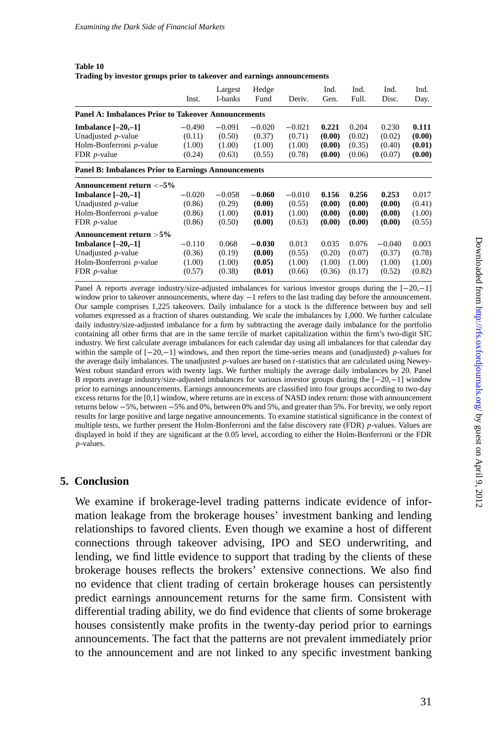<span id="page-30-0"></span>**Table 10 Trading by investor groups prior to takeover and earnings announcements**

|                                                            | Inst.                                                      | Largest<br>I-banks | Hedge<br>Fund | Deriv.   | Ind.<br>Gen. | Ind.<br>Full. | Ind.<br>Disc. | Ind.<br>Day. |  |  |
|------------------------------------------------------------|------------------------------------------------------------|--------------------|---------------|----------|--------------|---------------|---------------|--------------|--|--|
| <b>Panel A: Imbalances Prior to Takeover Announcements</b> |                                                            |                    |               |          |              |               |               |              |  |  |
| Imbalance $[-20,-1]$                                       | $-0.490$                                                   | $-0.091$           | $-0.020$      | $-0.021$ | 0.221        | 0.204         | 0.230         | 0.111        |  |  |
| Unadjusted p-value                                         | (0.11)                                                     | (0.50)             | (0.37)        | (0.71)   | (0.00)       | (0.02)        | (0.02)        | (0.00)       |  |  |
| Holm-Bonferroni p-value                                    | (1.00)                                                     | (1.00)             | (1.00)        | (1.00)   | (0.00)       | (0.35)        | (0.40)        | (0.01)       |  |  |
| FDR $p$ -value                                             | (0.24)                                                     | (0.63)             | (0.55)        | (0.78)   | (0.00)       | (0.06)        | (0.07)        | (0.00)       |  |  |
|                                                            | <b>Panel B: Imbalances Prior to Earnings Announcements</b> |                    |               |          |              |               |               |              |  |  |
| Announcement return $< -5\%$                               |                                                            |                    |               |          |              |               |               |              |  |  |
| Imbalance $[-20,-1]$                                       | $-0.020$                                                   | $-0.058$           | $-0.060$      | $-0.010$ | 0.156        | 0.256         | 0.253         | 0.017        |  |  |
| Unadjusted <i>p</i> -value                                 | (0.86)                                                     | (0.29)             | (0.00)        | (0.55)   | (0.00)       | (0.00)        | (0.00)        | (0.41)       |  |  |
| Holm-Bonferroni p-value                                    | (0.86)                                                     | (1.00)             | (0.01)        | (1.00)   | (0.00)       | (0.00)        | (0.00)        | (1.00)       |  |  |
| FDR $p$ -value                                             | (0.86)                                                     | (0.50)             | (0.00)        | (0.63)   | (0.00)       | (0.00)        | (0.00)        | (0.55)       |  |  |
| Announcement return $>5\%$                                 |                                                            |                    |               |          |              |               |               |              |  |  |
| Imbalance $[-20,-1]$                                       | $-0.110$                                                   | 0.068              | $-0.030$      | 0.013    | 0.035        | 0.076         | $-0.040$      | 0.003        |  |  |
| Unadjusted <i>p</i> -value                                 | (0.36)                                                     | (0.19)             | (0.00)        | (0.55)   | (0.20)       | (0.07)        | (0.37)        | (0.78)       |  |  |
| Holm-Bonferroni p-value                                    | (1.00)                                                     | (1.00)             | (0.05)        | (1.00)   | (1.00)       | (1.00)        | (1.00)        | (1.00)       |  |  |
| FDR $p$ -value                                             | (0.57)                                                     | (0.38)             | (0.01)        | (0.66)   | (0.36)       | (0.17)        | (0.52)        | (0.82)       |  |  |

Panel A reports average industry/size-adjusted imbalances for various investor groups during the [−20,−1] window prior to takeover announcements, where day −1 refers to the last trading day before the announcement. Our sample comprises 1,225 takeovers. Daily imbalance for a stock is the difference between buy and sell volumes expressed as a fraction of shares outstanding. We scale the imbalances by 1,000. We further calculate daily industry/size-adjusted imbalance for a firm by subtracting the average daily imbalance for the portfolio containing all other firms that are in the same tercile of market capitalization within the firm's two-digit SIC industry. We first calculate average imbalances for each calendar day using all imbalances for that calendar day within the sample of [−20,−1] windows, and then report the time-series means and (unadjusted) *p*-values for the average daily imbalances. The unadjusted *p*-values are based on *t*-statistics that are calculated using Newey-West robust standard errors with twenty lags. We further multiply the average daily imbalances by 20. Panel B reports average industry/size-adjusted imbalances for various investor groups during the [−20,−1] window prior to earnings announcements. Earnings announcements are classified into four groups according to two-day excess returns for the [0,1] window, where returns are in excess of NASD index return: those with announcement returns below −5%, between −5% and 0%, between 0% and 5%, and greater than 5%. For brevity, we only report results for large positive and large negative announcements. To examine statistical significance in the context of multiple tests, we further present the Holm-Bonferroni and the false discovery rate (FDR) *p*-values. Values are displayed in bold if they are significant at the 0.05 level, according to either the Holm-Bonferroni or the FDR *p*-values.

# **5. Conclusion**

We examine if brokerage-level trading patterns indicate evidence of information leakage from the brokerage houses' investment banking and lending relationships to favored clients. Even though we examine a host of different connections through takeover advising, IPO and SEO underwriting, and lending, we find little evidence to support that trading by the clients of these brokerage houses reflects the brokers' extensive connections. We also find no evidence that client trading of certain brokerage houses can persistently predict earnings announcement returns for the same firm. Consistent with differential trading ability, we do find evidence that clients of some brokerage houses consistently make profits in the twenty-day period prior to earnings announcements. The fact that the patterns are not prevalent immediately prior to the announcement and are not linked to any specific investment banking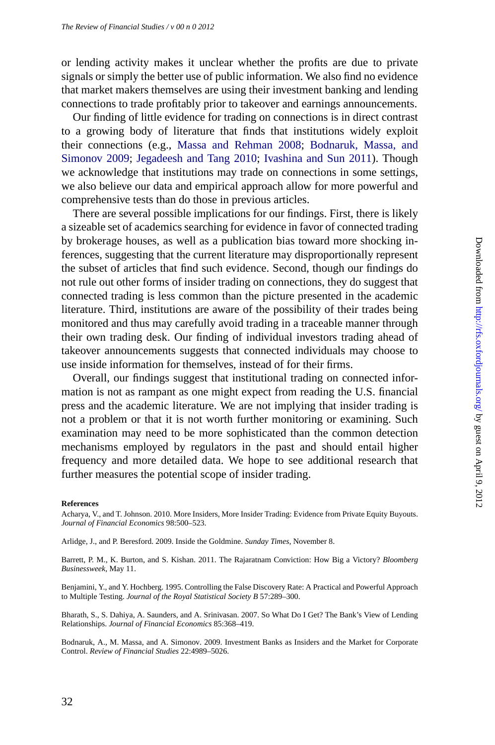<span id="page-31-0"></span>or lending activity makes it unclear whether the profits are due to private signals or simply the better use of public information. We also find no evidence that market makers themselves are using their investment banking and lending connections to trade profitably prior to takeover and earnings announcements.

Our finding of little evidence for trading on connections is in direct contrast to a growing body of literature that finds that institutions widely exploit their connections (e.g., Massa and Rehman 2008; Bodnaruk, Massa, and Simonov 2009; Jegadeesh and Tang 2010; Ivashina and Sun 2011). Though we acknowledge that institutions may trade on connections in some settings, we also believe our data and empirical approach allow for more powerful and comprehensive tests than do those in previous articles.

There are several possible implications for our findings. First, there is likely a sizeable set of academics searching for evidence in favor of connected trading by brokerage houses, as well as a publication bias toward more shocking inferences, suggesting that the current literature may disproportionally represent the subset of articles that find such evidence. Second, though our findings do not rule out other forms of insider trading on connections, they do suggest that connected trading is less common than the picture presented in the academic literature. Third, institutions are aware of the possibility of their trades being monitored and thus may carefully avoid trading in a traceable manner through their own trading desk. Our finding of individual investors trading ahead of takeover announcements suggests that connected individuals may choose to use inside information for themselves, instead of for their firms.

Overall, our findings suggest that institutional trading on connected information is not as rampant as one might expect from reading the U.S. financial press and the academic literature. We are not implying that insider trading is not a problem or that it is not worth further monitoring or examining. Such examination may need to be more sophisticated than the common detection mechanisms employed by regulators in the past and should entail higher frequency and more detailed data. We hope to see additional research that further measures the potential scope of insider trading.

#### **References**

Acharya, V., and T. Johnson. 2010. More Insiders, More Insider Trading: Evidence from Private Equity Buyouts. *Journal of Financial Economics* 98:500–523.

Arlidge, J., and P. Beresford. 2009. Inside the Goldmine. *Sunday Times,* November 8.

Barrett, P. M., K. Burton, and S. Kishan. 2011. The Rajaratnam Conviction: How Big a Victory? *Bloomberg Businessweek,* May 11.

Benjamini, Y., and Y. Hochberg. 1995. Controlling the False Discovery Rate: A Practical and Powerful Approach to Multiple Testing. *Journal of the Royal Statistical Society B* 57:289–300.

Bharath, S., S. Dahiya, A. Saunders, and A. Srinivasan. 2007. So What Do I Get? The Bank's View of Lending Relationships. *Journal of Financial Economics* 85:368–419.

Bodnaruk, A., M. Massa, and A. Simonov. 2009. Investment Banks as Insiders and the Market for Corporate Control. *Review of Financial Studies* 22:4989–5026.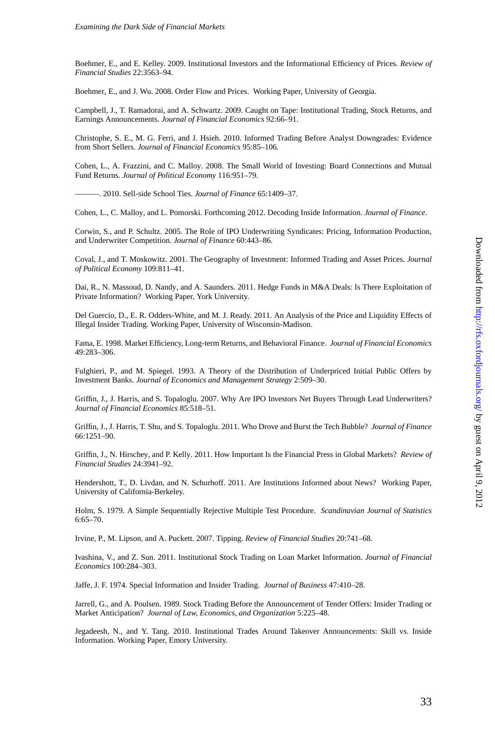<span id="page-32-0"></span>Boehmer, E., and E. Kelley. 2009. Institutional Investors and the Informational Efficiency of Prices. *Review of Financial Studies* 22:3563–94.

Boehmer, E., and J. Wu. 2008. Order Flow and Prices. Working Paper, University of Georgia.

Campbell, J., T. Ramadorai, and A. Schwartz. 2009. Caught on Tape: Institutional Trading, Stock Returns, and Earnings Announcements. *Journal of Financial Economics* 92:66–91.

Christophe, S. E., M. G. Ferri, and J. Hsieh. 2010. Informed Trading Before Analyst Downgrades: Evidence from Short Sellers. *Journal of Financial Economics* 95:85–106.

Cohen, L., A. Frazzini, and C. Malloy. 2008. The Small World of Investing: Board Connections and Mutual Fund Returns. *Journal of Political Economy* 116:951–79.

———. 2010. Sell-side School Ties. *Journal of Finance* 65:1409–37.

Cohen, L., C. Malloy, and L. Pomorski. Forthcoming 2012. Decoding Inside Information. *Journal of Finance*.

Corwin, S., and P. Schultz. 2005. The Role of IPO Underwriting Syndicates: Pricing, Information Production, and Underwriter Competition. *Journal of Finance* 60:443–86.

Coval, J., and T. Moskowitz. 2001. The Geography of Investment: Informed Trading and Asset Prices. *Journal of Political Economy* 109:811–41.

Dai, R., N. Massoud, D. Nandy, and A. Saunders. 2011. Hedge Funds in M&A Deals: Is There Exploitation of Private Information? Working Paper, York University.

Del Guercio, D., E. R. Odders-White, and M. J. Ready. 2011. An Analysis of the Price and Liquidity Effects of Illegal Insider Trading. Working Paper, University of Wisconsin-Madison.

Fama, E. 1998. Market Efficiency, Long-term Returns, and Behavioral Finance. *Journal of Financial Economics* 49:283–306.

Fulghieri, P., and M. Spiegel. 1993. A Theory of the Distribution of Underpriced Initial Public Offers by Investment Banks. *Journal of Economics and Management Strategy* 2:509–30.

Griffin, J., J. Harris, and S. Topaloglu. 2007. Why Are IPO Investors Net Buyers Through Lead Underwriters? *Journal of Financial Economics* 85:518–51.

Griffin, J., J. Harris, T. Shu, and S. Topaloglu. 2011. Who Drove and Burst the Tech Bubble? *Journal of Finance* 66:1251–90.

Griffin, J., N. Hirschey, and P. Kelly. 2011. How Important Is the Financial Press in Global Markets? *Review of Financial Studies* 24:3941–92.

Hendershott, T., D. Livdan, and N. Schurhoff. 2011. Are Institutions Informed about News? Working Paper, University of California-Berkeley.

Holm, S. 1979. A Simple Sequentially Rejective Multiple Test Procedure. *Scandinavian Journal of Statistics* 6:65–70.

Irvine, P., M. Lipson, and A. Puckett. 2007. Tipping. *Review of Financial Studies* 20:741–68.

Ivashina, V., and Z. Sun. 2011. Institutional Stock Trading on Loan Market Information. *Journal of Financial Economics* 100:284–303.

Jaffe, J. F. 1974. Special Information and Insider Trading. *Journal of Business* 47:410–28.

Jarrell, G., and A. Poulsen. 1989. Stock Trading Before the Announcement of Tender Offers: Insider Trading or Market Anticipation? *Journal of Law, Economics, and Organization* 5:225–48.

Jegadeesh, N., and Y. Tang. 2010. Institutional Trades Around Takeover Announcements: Skill vs. Inside Information. Working Paper, Emory University.